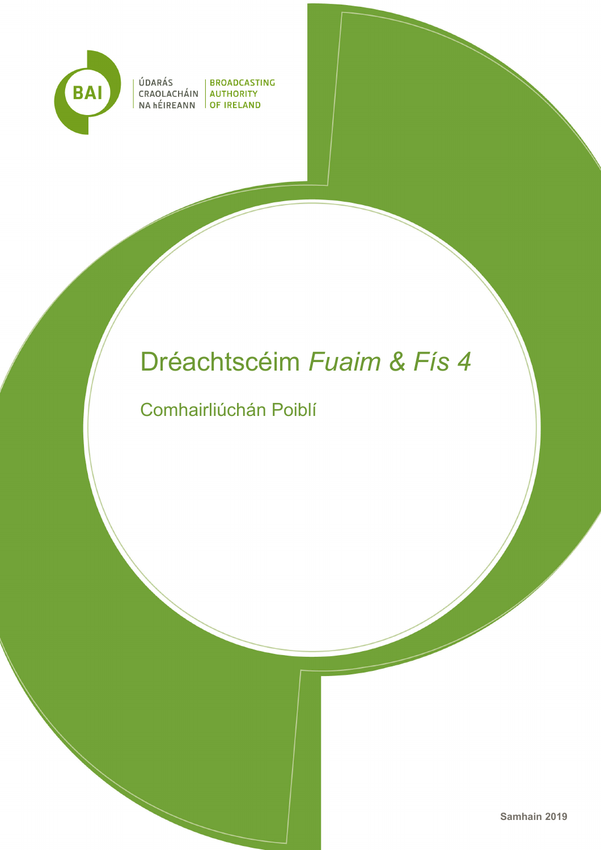

ÚDARÁS<br>CRAOLACHÁIN AUTHORITY<br>NA hÉIREANN OF IRELAND

# Dréachtscéim *Fuaim & Fís 4*

Comhairliúchán Poiblí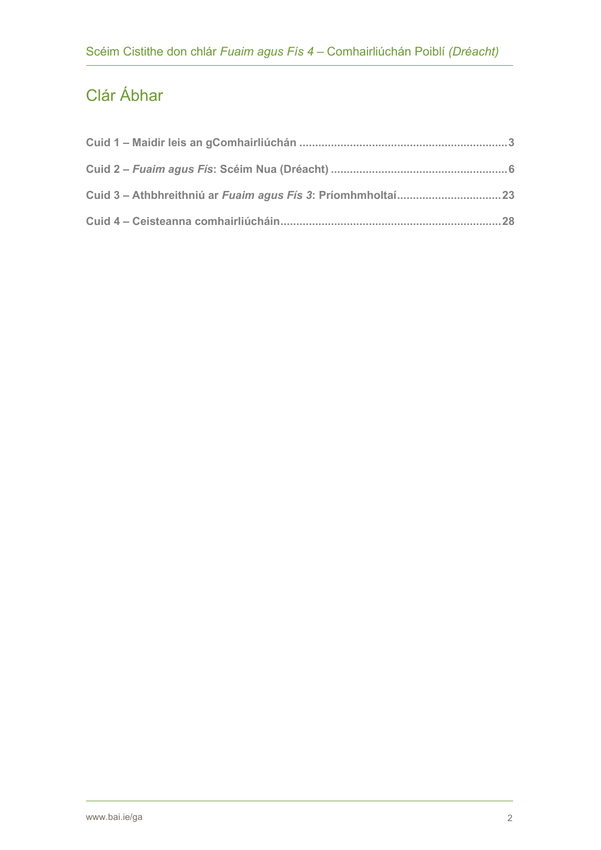# Clár Ábhar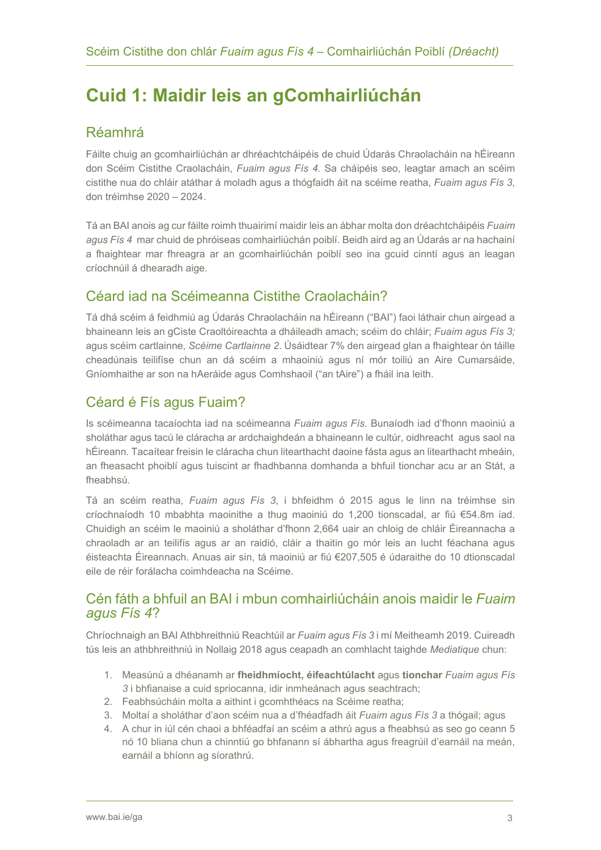# <span id="page-2-0"></span>**Cuid 1: Maidir leis an gComhairliúchán**

### Réamhrá

Fáilte chuig an gcomhairliúchán ar dhréachtcháipéis de chuid Údarás Chraolacháin na hÉireann don Scéim Cistithe Craolacháin, *Fuaim agus Fís 4.* Sa cháipéis seo, leagtar amach an scéim cistithe nua do chláir atáthar á moladh agus a thógfaidh áit na scéime reatha, *Fuaim agus Fís 3*, don tréimhse 2020 – 2024.

Tá an BAI anois ag cur fáilte roimh thuairimí maidir leis an ábhar molta don dréachtcháipéis *Fuaim agus Fís 4* mar chuid de phróiseas comhairliúchán poiblí. Beidh aird ag an Údarás ar na hachainí a fhaightear mar fhreagra ar an gcomhairliúchán poiblí seo ina gcuid cinntí agus an leagan críochnúil á dhearadh aige.

### Céard iad na Scéimeanna Cistithe Craolacháin?

Tá dhá scéim á feidhmiú ag Údarás Chraolacháin na hÉireann ("BAI") faoi láthair chun airgead a bhaineann leis an gCiste Craoltóireachta a dháileadh amach; scéim do chláir; *Fuaim agus Fís 3;*  agus scéim cartlainne, *Scéime Cartlainne 2*. Úsáidtear 7% den airgead glan a fhaightear ón táille cheadúnais teilifíse chun an dá scéim a mhaoiniú agus ní mór toiliú an Aire Cumarsáide, Gníomhaithe ar son na hAeráide agus Comhshaoil ("an tAire") a fháil ina leith.

### Céard é Fís agus Fuaim?

Is scéimeanna tacaíochta iad na scéimeanna *Fuaim agus Fís*. Bunaíodh iad d'fhonn maoiniú a sholáthar agus tacú le cláracha ar ardchaighdeán a bhaineann le cultúr, oidhreacht agus saol na hÉireann. Tacaítear freisin le cláracha chun litearthacht daoine fásta agus an litearthacht mheáin, an fheasacht phoiblí agus tuiscint ar fhadhbanna domhanda a bhfuil tionchar acu ar an Stát, a fheabhsú.

Tá an scéim reatha, *Fuaim agus Fís 3*, i bhfeidhm ó 2015 agus le linn na tréimhse sin críochnaíodh 10 mbabhta maoinithe a thug maoiniú do 1,200 tionscadal, ar fiú €54.8m iad. Chuidigh an scéim le maoiniú a sholáthar d'fhonn 2,664 uair an chloig de chláir Éireannacha a chraoladh ar an teilifís agus ar an raidió, cláir a thaitin go mór leis an lucht féachana agus éisteachta Éireannach. Anuas air sin, tá maoiniú ar fiú €207,505 é údaraithe do 10 dtionscadal eile de réir forálacha coimhdeacha na Scéime.

### Cén fáth a bhfuil an BAI i mbun comhairliúcháin anois maidir le *Fuaim agus Fís 4*?

Chríochnaigh an BAI Athbhreithniú Reachtúil ar *Fuaim agus Fís 3* i mí Meitheamh 2019. Cuireadh tús leis an athbhreithniú in Nollaig 2018 agus ceapadh an comhlacht taighde *Mediatique* chun:

- 1. Measúnú a dhéanamh ar **fheidhmíocht, éifeachtúlacht** agus **tionchar** *Fuaim agus Fís 3* i bhfianaise a cuid spriocanna, idir inmheánach agus seachtrach;
- 2. Feabhsúcháin molta a aithint i gcomhthéacs na Scéime reatha;
- 3. Moltaí a sholáthar d'aon scéim nua a d'fhéadfadh áit *Fuaim agus Fís 3* a thógail; agus
- 4. A chur in iúl cén chaoi a bhféadfaí an scéim a athrú agus a fheabhsú as seo go ceann 5 nó 10 bliana chun a chinntiú go bhfanann sí ábhartha agus freagrúil d'earnáil na meán, earnáil a bhíonn ag síorathrú.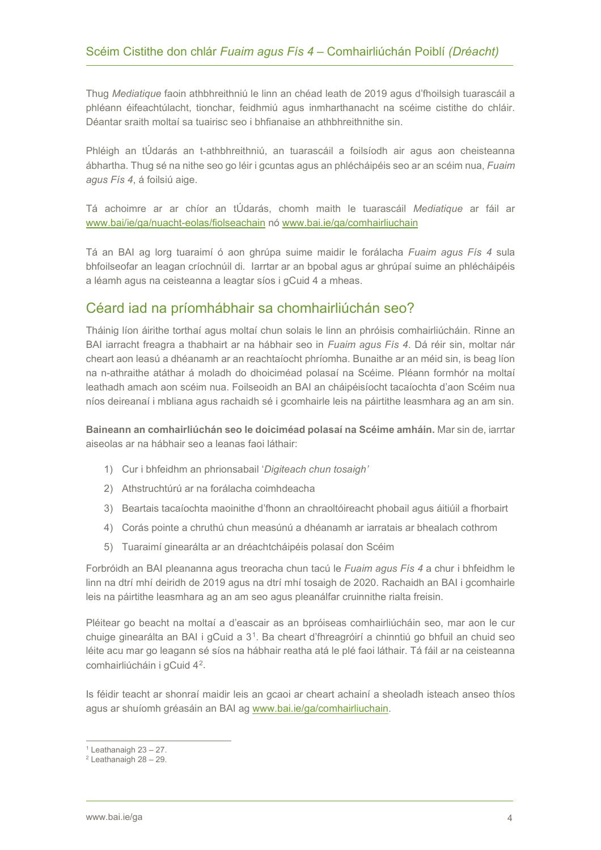Thug *Mediatique* faoin athbhreithniú le linn an chéad leath de 2019 agus d'fhoilsigh tuarascáil a phléann éifeachtúlacht, tionchar, feidhmiú agus inmharthanacht na scéime cistithe do chláir. Déantar sraith moltaí sa tuairisc seo i bhfianaise an athbhreithnithe sin.

Phléigh an tÚdarás an t-athbhreithniú, an tuarascáil a foilsíodh air agus aon cheisteanna ábhartha. Thug sé na nithe seo go léir i gcuntas agus an phlécháipéis seo ar an scéim nua, *Fuaim agus Fís 4*, á foilsiú aige.

Tá achoimre ar ar chíor an tÚdarás, chomh maith le tuarascáil *Mediatique* ar fáil ar [www.bai/ie/ga/nuacht-eolas/fiolseachain](http://www.bai/ie/ga/nuacht-eolas/fiolseachain) nó [www.bai.ie/ga/comhairliuchain](http://www.bai.ie/ga/comhairliuchain)

Tá an BAI ag lorg tuaraimí ó aon ghrúpa suime maidir le forálacha *Fuaim agus Fís 4* sula bhfoilseofar an leagan críochnúil di. Iarrtar ar an bpobal agus ar ghrúpaí suime an phlécháipéis a léamh agus na ceisteanna a leagtar síos i gCuid 4 a mheas.

### Céard iad na príomhábhair sa chomhairliúchán seo?

Tháinig líon áirithe torthaí agus moltaí chun solais le linn an phróisis comhairliúcháin. Rinne an BAI iarracht freagra a thabhairt ar na hábhair seo in *Fuaim agus Fís 4*. Dá réir sin, moltar nár cheart aon leasú a dhéanamh ar an reachtaíocht phríomha. Bunaithe ar an méid sin, is beag líon na n-athraithe atáthar á moladh do dhoiciméad polasaí na Scéime. Pléann formhór na moltaí leathadh amach aon scéim nua. Foilseoidh an BAI an cháipéisíocht tacaíochta d'aon Scéim nua níos deireanaí i mbliana agus rachaidh sé i gcomhairle leis na páirtithe leasmhara ag an am sin.

**Baineann an comhairliúchán seo le doiciméad polasaí na Scéime amháin.** Mar sin de, iarrtar aiseolas ar na hábhair seo a leanas faoi láthair:

- 1) Cur i bhfeidhm an phrionsabail '*Digiteach chun tosaigh'*
- 2) Athstruchtúrú ar na forálacha coimhdeacha
- 3) Beartais tacaíochta maoinithe d'fhonn an chraoltóireacht phobail agus áitiúil a fhorbairt
- 4) Corás pointe a chruthú chun measúnú a dhéanamh ar iarratais ar bhealach cothrom
- 5) Tuaraimí ginearálta ar an dréachtcháipéis polasaí don Scéim

Forbróidh an BAI pleananna agus treoracha chun tacú le *Fuaim agus Fís 4* a chur i bhfeidhm le linn na dtrí mhí deiridh de 2019 agus na dtrí mhí tosaigh de 2020. Rachaidh an BAI i gcomhairle leis na páirtithe leasmhara ag an am seo agus pleanálfar cruinnithe rialta freisin.

Pléitear go beacht na moltaí a d'eascair as an bpróiseas comhairliúcháin seo, mar aon le cur chuige ginearálta an BAI i gCuid a 3[1](#page-3-0). Ba cheart d'fhreagróirí a chinntiú go bhfuil an chuid seo léite acu mar go leagann sé síos na hábhair reatha atá le plé faoi láthair. Tá fáil ar na ceisteanna comhairliúcháin i gCuid 4[2.](#page-3-1)

Is féidir teacht ar shonraí maidir leis an gcaoi ar cheart achainí a sheoladh isteach anseo thíos agus ar shuíomh gréasáin an BAI ag [www.bai.ie/ga/comhairliuchain.](http://www.bai.ie/ga/comhairliuchain)

<span id="page-3-0"></span> $1$  Leathanaigh 23 - 27.

<span id="page-3-1"></span> $2$  Leathanaigh 28 - 29.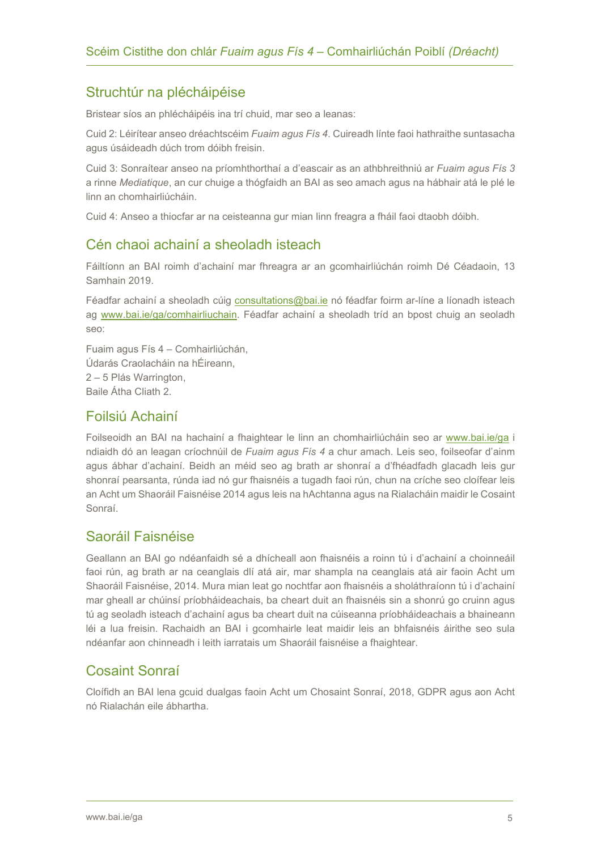### Struchtúr na plécháipéise

Bristear síos an phlécháipéis ina trí chuid, mar seo a leanas:

Cuid 2: Léirítear anseo dréachtscéim *Fuaim agus Fís 4*. Cuireadh línte faoi hathraithe suntasacha agus úsáideadh dúch trom dóibh freisin.

Cuid 3: Sonraítear anseo na príomhthorthaí a d'eascair as an athbhreithniú ar *Fuaim agus Fís 3*  a rinne *Mediatique*, an cur chuige a thógfaidh an BAI as seo amach agus na hábhair atá le plé le linn an chomhairliúcháin.

Cuid 4: Anseo a thiocfar ar na ceisteanna gur mian linn freagra a fháil faoi dtaobh dóibh.

### Cén chaoi achainí a sheoladh isteach

Fáiltíonn an BAI roimh d'achainí mar fhreagra ar an gcomhairliúchán roimh Dé Céadaoin, 13 Samhain 2019.

Féadfar achainí a sheoladh cúig [consultations@bai.ie](mailto:consultations@bai.ie) nó féadfar foirm ar-líne a líonadh isteach ag [www.bai.ie/ga/comhairliuchain.](http://www.bai.ie/ga/comhairliuchain) Féadfar achainí a sheoladh tríd an bpost chuig an seoladh seo:

Fuaim agus Fís 4 – Comhairliúchán, Údarás Craolacháin na hÉireann, 2 – 5 Plás Warrington, Baile Átha Cliath 2.

### Foilsiú Achainí

Foilseoidh an BAI na hachainí a fhaightear le linn an chomhairliúcháin seo ar [www.bai.ie/](https://www.bai.ie/ga/)ga i ndiaidh dó an leagan críochnúil de *Fuaim agus Fís 4* a chur amach. Leis seo, foilseofar d'ainm agus ábhar d'achainí. Beidh an méid seo ag brath ar shonraí a d'fhéadfadh glacadh leis gur shonraí pearsanta, rúnda iad nó gur fhaisnéis a tugadh faoi rún, chun na críche seo cloífear leis an Acht um Shaoráil Faisnéise 2014 agus leis na hAchtanna agus na Rialacháin maidir le Cosaint Sonraí.

### Saoráil Faisnéise

Geallann an BAI go ndéanfaidh sé a dhícheall aon fhaisnéis a roinn tú i d'achainí a choinneáil faoi rún, ag brath ar na ceanglais dlí atá air, mar shampla na ceanglais atá air faoin Acht um Shaoráil Faisnéise, 2014. Mura mian leat go nochtfar aon fhaisnéis a sholáthraíonn tú i d'achainí mar gheall ar chúinsí príobháideachais, ba cheart duit an fhaisnéis sin a shonrú go cruinn agus tú ag seoladh isteach d'achainí agus ba cheart duit na cúiseanna príobháideachais a bhaineann léi a lua freisin. Rachaidh an BAI i gcomhairle leat maidir leis an bhfaisnéis áirithe seo sula ndéanfar aon chinneadh i leith iarratais um Shaoráil faisnéise a fhaightear.

### Cosaint Sonraí

Cloífidh an BAI lena gcuid dualgas faoin Acht um Chosaint Sonraí, 2018, GDPR agus aon Acht nó Rialachán eile ábhartha.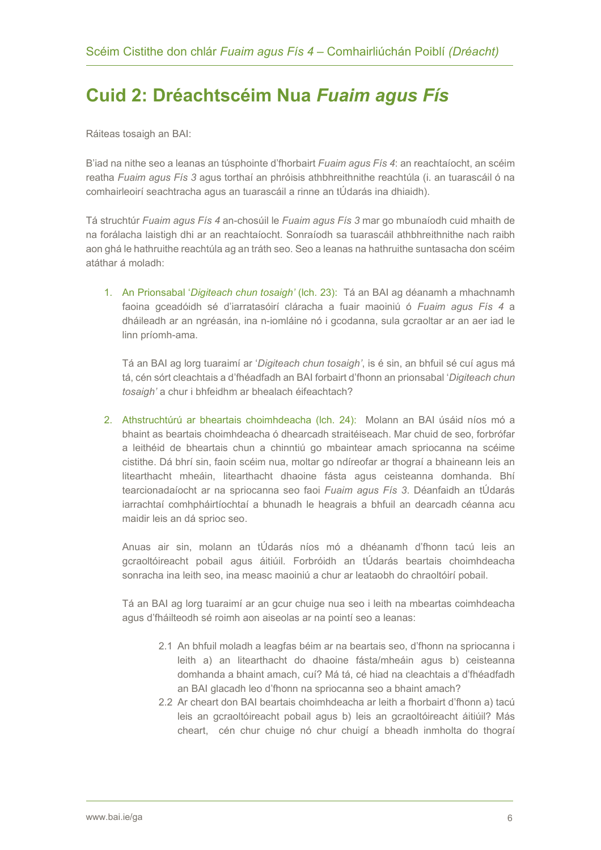# <span id="page-5-0"></span>**Cuid 2: Dréachtscéim Nua** *Fuaim agus Fís*

Ráiteas tosaigh an BAI:

B'iad na nithe seo a leanas an túsphointe d'fhorbairt *Fuaim agus Fís 4*: an reachtaíocht, an scéim reatha *Fuaim agus Fís 3* agus torthaí an phróisis athbhreithnithe reachtúla (i. an tuarascáil ó na comhairleoirí seachtracha agus an tuarascáil a rinne an tÚdarás ina dhiaidh).

Tá struchtúr *Fuaim agus Fís 4* an-chosúil le *Fuaim agus Fís 3* mar go mbunaíodh cuid mhaith de na forálacha laistigh dhi ar an reachtaíocht. Sonraíodh sa tuarascáil athbhreithnithe nach raibh aon ghá le hathruithe reachtúla ag an tráth seo. Seo a leanas na hathruithe suntasacha don scéim atáthar á moladh:

1. An Prionsabal '*Digiteach chun tosaigh'* (lch. 23): Tá an BAI ag déanamh a mhachnamh faoina gceadóidh sé d'iarratasóirí cláracha a fuair maoiniú ó *Fuaim agus Fís 4* a dháileadh ar an ngréasán, ina n-iomláine nó i gcodanna, sula gcraoltar ar an aer iad le linn príomh-ama.

Tá an BAI ag lorg tuaraimí ar '*Digiteach chun tosaigh'*, is é sin, an bhfuil sé cuí agus má tá, cén sórt cleachtais a d'fhéadfadh an BAI forbairt d'fhonn an prionsabal '*Digiteach chun tosaigh'* a chur i bhfeidhm ar bhealach éifeachtach?

2. Athstruchtúrú ar bheartais choimhdeacha (lch. 24): Molann an BAI úsáid níos mó a bhaint as beartais choimhdeacha ó dhearcadh straitéiseach. Mar chuid de seo, forbrófar a leithéid de bheartais chun a chinntiú go mbaintear amach spriocanna na scéime cistithe. Dá bhrí sin, faoin scéim nua, moltar go ndíreofar ar thograí a bhaineann leis an litearthacht mheáin, litearthacht dhaoine fásta agus ceisteanna domhanda. Bhí tearcionadaíocht ar na spriocanna seo faoi *Fuaim agus Fís 3*. Déanfaidh an tÚdarás iarrachtaí comhpháirtíochtaí a bhunadh le heagrais a bhfuil an dearcadh céanna acu maidir leis an dá sprioc seo.

Anuas air sin, molann an tÚdarás níos mó a dhéanamh d'fhonn tacú leis an gcraoltóireacht pobail agus áitiúil. Forbróidh an tÚdarás beartais choimhdeacha sonracha ina leith seo, ina measc maoiniú a chur ar leataobh do chraoltóirí pobail.

Tá an BAI ag lorg tuaraimí ar an gcur chuige nua seo i leith na mbeartas coimhdeacha agus d'fháilteodh sé roimh aon aiseolas ar na pointí seo a leanas:

- 2.1 An bhfuil moladh a leagfas béim ar na beartais seo, d'fhonn na spriocanna i leith a) an litearthacht do dhaoine fásta/mheáin agus b) ceisteanna domhanda a bhaint amach, cuí? Má tá, cé hiad na cleachtais a d'fhéadfadh an BAI glacadh leo d'fhonn na spriocanna seo a bhaint amach?
- 2.2 Ar cheart don BAI beartais choimhdeacha ar leith a fhorbairt d'fhonn a) tacú leis an gcraoltóireacht pobail agus b) leis an gcraoltóireacht áitiúil? Más cheart, cén chur chuige nó chur chuigí a bheadh inmholta do thograí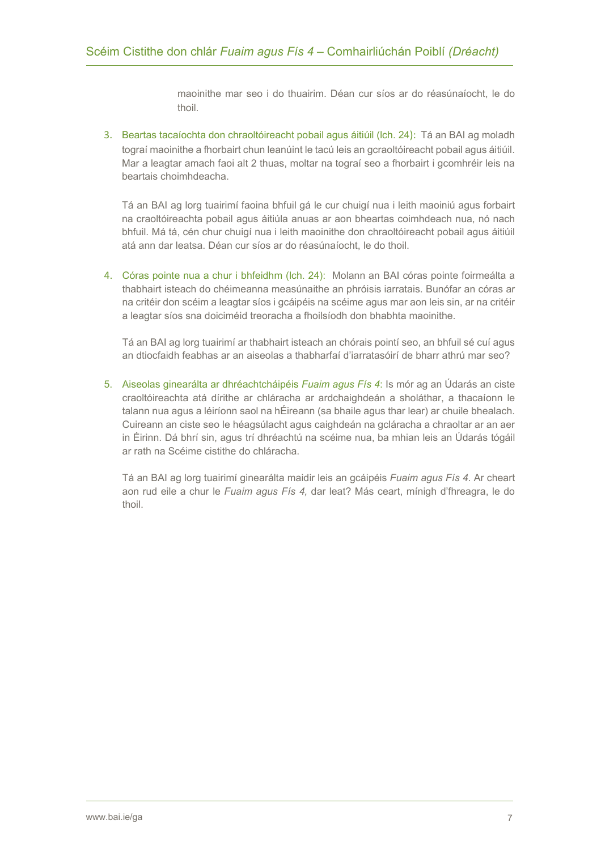maoinithe mar seo i do thuairim. Déan cur síos ar do réasúnaíocht, le do thoil.

3. Beartas tacaíochta don chraoltóireacht pobail agus áitiúil (lch. 24): Tá an BAI ag moladh tograí maoinithe a fhorbairt chun leanúint le tacú leis an gcraoltóireacht pobail agus áitiúil. Mar a leagtar amach faoi alt 2 thuas, moltar na tograí seo a fhorbairt i gcomhréir leis na beartais choimhdeacha.

Tá an BAI ag lorg tuairimí faoina bhfuil gá le cur chuigí nua i leith maoiniú agus forbairt na craoltóireachta pobail agus áitiúla anuas ar aon bheartas coimhdeach nua, nó nach bhfuil. Má tá, cén chur chuigí nua i leith maoinithe don chraoltóireacht pobail agus áitiúil atá ann dar leatsa. Déan cur síos ar do réasúnaíocht, le do thoil.

4. Córas pointe nua a chur i bhfeidhm (lch. 24): Molann an BAI córas pointe foirmeálta a thabhairt isteach do chéimeanna measúnaithe an phróisis iarratais. Bunófar an córas ar na critéir don scéim a leagtar síos i gcáipéis na scéime agus mar aon leis sin, ar na critéir a leagtar síos sna doiciméid treoracha a fhoilsíodh don bhabhta maoinithe.

Tá an BAI ag lorg tuairimí ar thabhairt isteach an chórais pointí seo, an bhfuil sé cuí agus an dtiocfaidh feabhas ar an aiseolas a thabharfaí d'iarratasóirí de bharr athrú mar seo?

5. Aiseolas ginearálta ar dhréachtcháipéis *Fuaim agus Fís 4*: Is mór ag an Údarás an ciste craoltóireachta atá dírithe ar chláracha ar ardchaighdeán a sholáthar, a thacaíonn le talann nua agus a léiríonn saol na hÉireann (sa bhaile agus thar lear) ar chuile bhealach. Cuireann an ciste seo le héagsúlacht agus caighdeán na gcláracha a chraoltar ar an aer in Éirinn. Dá bhrí sin, agus trí dhréachtú na scéime nua, ba mhian leis an Údarás tógáil ar rath na Scéime cistithe do chláracha.

Tá an BAI ag lorg tuairimí ginearálta maidir leis an gcáipéis *Fuaim agus Fís 4*. Ar cheart aon rud eile a chur le *Fuaim agus Fís 4,* dar leat? Más ceart, mínigh d'fhreagra, le do thoil.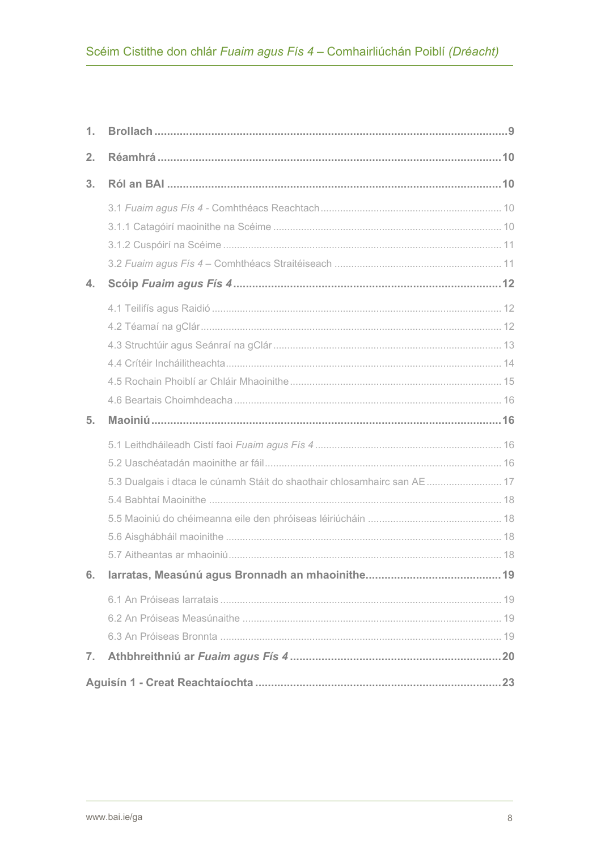| 1. |                                                                           |    |
|----|---------------------------------------------------------------------------|----|
| 2. |                                                                           |    |
| 3. |                                                                           |    |
|    |                                                                           |    |
|    |                                                                           |    |
|    |                                                                           |    |
| 4. |                                                                           |    |
|    |                                                                           |    |
|    |                                                                           |    |
|    |                                                                           |    |
|    |                                                                           |    |
|    |                                                                           |    |
|    |                                                                           |    |
|    |                                                                           |    |
| 5. |                                                                           |    |
|    |                                                                           |    |
|    |                                                                           |    |
|    | 5.3 Dualgais i dtaca le cúnamh Stáit do shaothair chlosamhairc san AE  17 |    |
|    |                                                                           |    |
|    |                                                                           |    |
|    |                                                                           |    |
|    |                                                                           |    |
| 6. | Iarratas, Measúnú agus Bronnadh an mhaoinithe                             | 19 |
|    |                                                                           |    |
|    |                                                                           |    |
|    |                                                                           |    |
| 7. |                                                                           |    |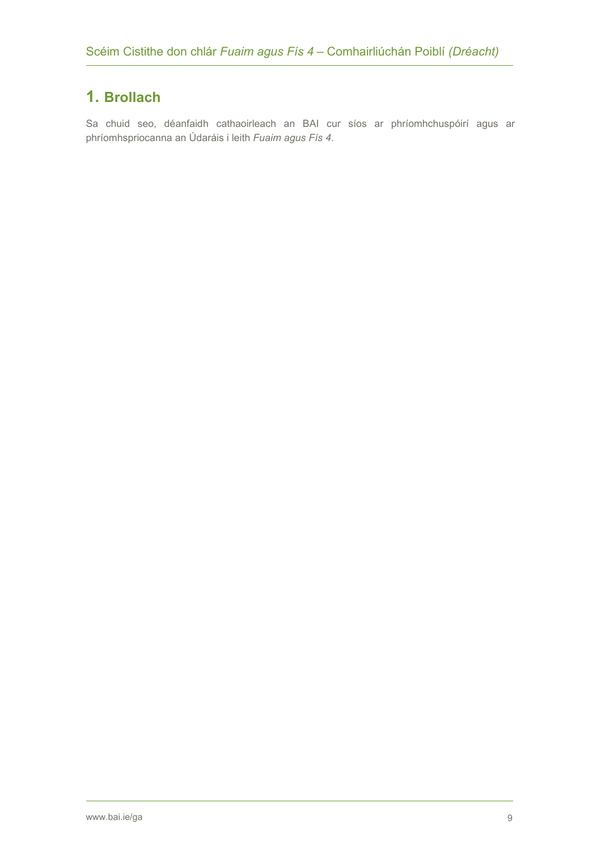### <span id="page-8-0"></span>**1. Brollach**

Sa chuid seo, déanfaidh cathaoirleach an BAI cur síos ar phríomhchuspóirí agus ar phríomhspriocanna an Údaráis i leith *Fuaim agus Fís 4*.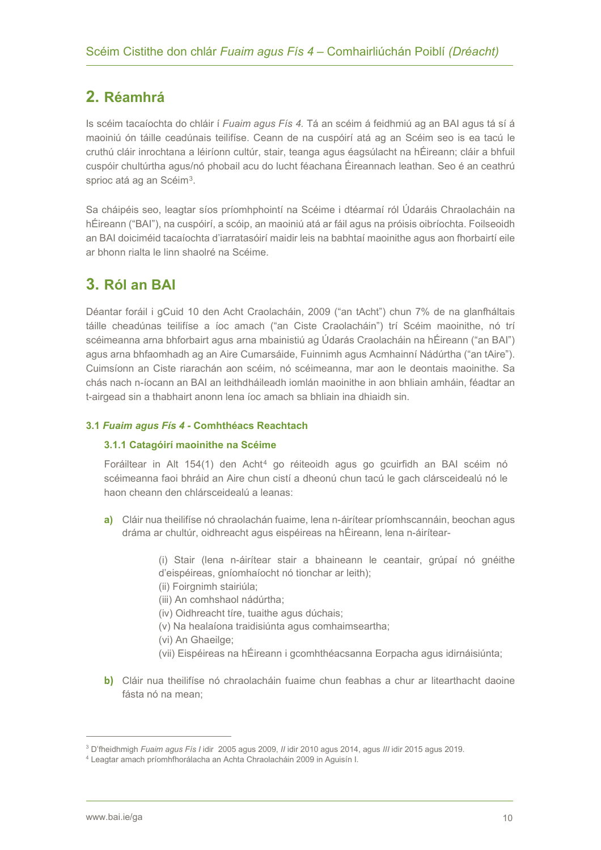### <span id="page-9-0"></span>**2. Réamhrá**

Is scéim tacaíochta do chláir í *Fuaim agus Fís 4.* Tá an scéim á feidhmiú ag an BAI agus tá sí á maoiniú ón táille ceadúnais teilifíse. Ceann de na cuspóirí atá ag an Scéim seo is ea tacú le cruthú cláir inrochtana a léiríonn cultúr, stair, teanga agus éagsúlacht na hÉireann; cláir a bhfuil cuspóir chultúrtha agus/nó phobail acu do lucht féachana Éireannach leathan. Seo é an ceathrú sprioc atá ag an Scéim<sup>3</sup>.

Sa cháipéis seo, leagtar síos príomhphointí na Scéime i dtéarmaí ról Údaráis Chraolacháin na hÉireann ("BAI"), na cuspóirí, a scóip, an maoiniú atá ar fáil agus na próisis oibríochta. Foilseoidh an BAI doiciméid tacaíochta d'iarratasóirí maidir leis na babhtaí maoinithe agus aon fhorbairtí eile ar bhonn rialta le linn shaolré na Scéime.

### <span id="page-9-1"></span>**3. Ról an BAI**

Déantar foráil i gCuid 10 den Acht Craolacháin, 2009 ("an tAcht") chun 7% de na glanfháltais táille cheadúnas teilifíse a íoc amach ("an Ciste Craolacháin") trí Scéim maoinithe, nó trí scéimeanna arna bhforbairt agus arna mbainistiú ag Údarás Craolacháin na hÉireann ("an BAI") agus arna bhfaomhadh ag an Aire Cumarsáide, Fuinnimh agus Acmhainní Nádúrtha ("an tAire"). Cuimsíonn an Ciste riarachán aon scéim, nó scéimeanna, mar aon le deontais maoinithe. Sa chás nach n-íocann an BAI an leithdháileadh iomlán maoinithe in aon bhliain amháin, féadtar an t-airgead sin a thabhairt anonn lena íoc amach sa bhliain ina dhiaidh sin.

#### <span id="page-9-3"></span><span id="page-9-2"></span>**3.1** *Fuaim agus Fís 4 -* **Comhthéacs Reachtach**

#### **3.1.1 Catagóirí maoinithe na Scéime**

Foráiltear in Alt 154(1) den Acht[4](#page-9-5) go réiteoidh agus go gcuirfidh an BAI scéim nó scéimeanna faoi bhráid an Aire chun cistí a dheonú chun tacú le gach clársceidealú nó le haon cheann den chlársceidealú a leanas:

**a)** Cláir nua theilifíse nó chraolachán fuaime, lena n-áirítear príomhscannáin, beochan agus dráma ar chultúr, oidhreacht agus eispéireas na hÉireann, lena n-áirítear-

> (i) Stair (lena n-áirítear stair a bhaineann le ceantair, grúpaí nó gnéithe d'eispéireas, gníomhaíocht nó tionchar ar leith);

- (ii) Foirgnimh stairiúla;
- (iii) An comhshaol nádúrtha;
- (iv) Oidhreacht tíre, tuaithe agus dúchais;
- (v) Na healaíona traidisiúnta agus comhaimseartha;
- (vi) An Ghaeilge;
- (vii) Eispéireas na hÉireann i gcomhthéacsanna Eorpacha agus idirnáisiúnta;
- **b)** Cláir nua theilifíse nó chraolacháin fuaime chun feabhas a chur ar litearthacht daoine fásta nó na mean;

<span id="page-9-5"></span><span id="page-9-4"></span><sup>3</sup> D'fheidhmigh *Fuaim agus Fís I* idir 2005 agus 2009, *II* idir 2010 agus 2014, agus *III* idir 2015 agus 2019.

<sup>4</sup> Leagtar amach príomhfhorálacha an Achta Chraolacháin 2009 in Aguisín I.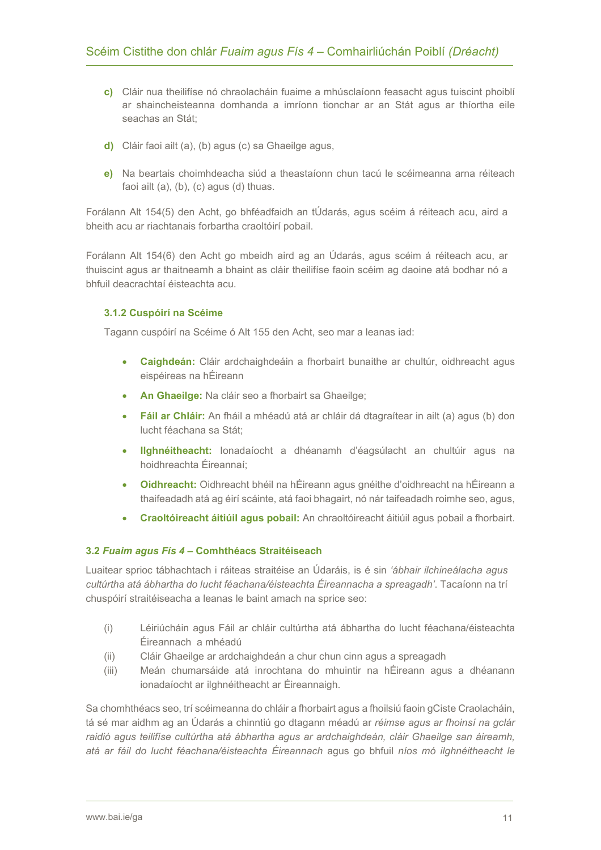- **c)** Cláir nua theilifíse nó chraolacháin fuaime a mhúsclaíonn feasacht agus tuiscint phoiblí ar shaincheisteanna domhanda a imríonn tionchar ar an Stát agus ar thíortha eile seachas an Stát;
- **d)** Cláir faoi ailt (a), (b) agus (c) sa Ghaeilge agus,
- **e)** Na beartais choimhdeacha siúd a theastaíonn chun tacú le scéimeanna arna réiteach faoi ailt (a), (b), (c) agus (d) thuas.

Forálann Alt 154(5) den Acht, go bhféadfaidh an tÚdarás, agus scéim á réiteach acu, aird a bheith acu ar riachtanais forbartha craoltóirí pobail.

Forálann Alt 154(6) den Acht go mbeidh aird ag an Údarás, agus scéim á réiteach acu, ar thuiscint agus ar thaitneamh a bhaint as cláir theilifíse faoin scéim ag daoine atá bodhar nó a bhfuil deacrachtaí éisteachta acu.

#### <span id="page-10-0"></span>**3.1.2 Cuspóirí na Scéime**

Tagann cuspóirí na Scéime ó Alt 155 den Acht, seo mar a leanas iad:

- **Caighdeán:** Cláir ardchaighdeáin a fhorbairt bunaithe ar chultúr, oidhreacht agus eispéireas na hÉireann
- **An Ghaeilge:** Na cláir seo a fhorbairt sa Ghaeilge;
- **Fáil ar Chláir:** An fháil a mhéadú atá ar chláir dá dtagraítear in ailt (a) agus (b) don lucht féachana sa Stát;
- **Ilghnéitheacht:** Ionadaíocht a dhéanamh d'éagsúlacht an chultúir agus na hoidhreachta Éireannaí;
- **Oidhreacht:** Oidhreacht bhéil na hÉireann agus gnéithe d'oidhreacht na hÉireann a thaifeadadh atá ag éirí scáinte, atá faoi bhagairt, nó nár taifeadadh roimhe seo, agus,
- **Craoltóireacht áitiúil agus pobail:** An chraoltóireacht áitiúil agus pobail a fhorbairt.

#### <span id="page-10-1"></span>**3.2** *Fuaim agus Fís 4* **– Comhthéacs Straitéiseach**

Luaitear sprioc tábhachtach i ráiteas straitéise an Údaráis, is é sin *'ábhair ilchineálacha agus cultúrtha atá ábhartha do lucht féachana/éisteachta Éireannacha a spreagadh'*. Tacaíonn na trí chuspóirí straitéiseacha a leanas le baint amach na sprice seo:

- (i) Léiriúcháin agus Fáil ar chláir cultúrtha atá ábhartha do lucht féachana/éisteachta Éireannach a mhéadú
- (ii) Cláir Ghaeilge ar ardchaighdeán a chur chun cinn agus a spreagadh
- (iii) Meán chumarsáide atá inrochtana do mhuintir na hÉireann agus a dhéanann ionadaíocht ar ilghnéitheacht ar Éireannaigh.

Sa chomhthéacs seo, trí scéimeanna do chláir a fhorbairt agus a fhoilsiú faoin gCiste Craolacháin, tá sé mar aidhm ag an Údarás a chinntiú go dtagann méadú ar *réimse agus ar fhoinsí na gclár raidió agus teilifíse cultúrtha atá ábhartha agus ar ardchaighdeán, cláir Ghaeilge san áireamh, atá ar fáil do lucht féachana/éisteachta Éireannach* agus go bhfuil *níos mó ilghnéitheacht le*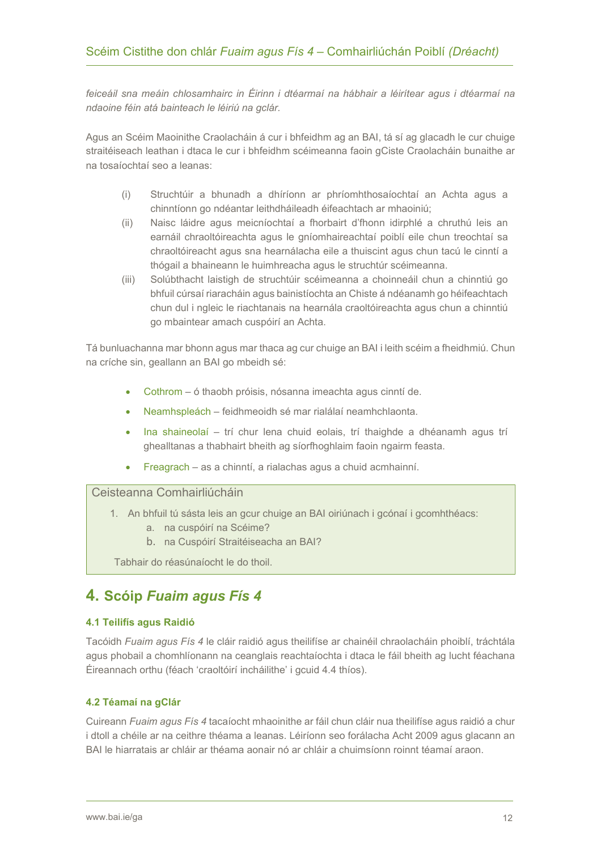*feiceáil sna meáin chlosamhairc in Éirinn i dtéarmaí na hábhair a léirítear agus i dtéarmaí na ndaoine féin atá bainteach le léiriú na gclár.* 

Agus an Scéim Maoinithe Craolacháin á cur i bhfeidhm ag an BAI, tá sí ag glacadh le cur chuige straitéiseach leathan i dtaca le cur i bhfeidhm scéimeanna faoin gCiste Craolacháin bunaithe ar na tosaíochtaí seo a leanas:

- (i) Struchtúir a bhunadh a dhíríonn ar phríomhthosaíochtaí an Achta agus a chinntíonn go ndéantar leithdháileadh éifeachtach ar mhaoiniú;
- (ii) Naisc láidre agus meicníochtaí a fhorbairt d'fhonn idirphlé a chruthú leis an earnáil chraoltóireachta agus le gníomhaireachtaí poiblí eile chun treochtaí sa chraoltóireacht agus sna hearnálacha eile a thuiscint agus chun tacú le cinntí a thógail a bhaineann le huimhreacha agus le struchtúr scéimeanna.
- (iii) Solúbthacht laistigh de struchtúir scéimeanna a choinneáil chun a chinntiú go bhfuil cúrsaí riaracháin agus bainistíochta an Chiste á ndéanamh go héifeachtach chun dul i ngleic le riachtanais na hearnála craoltóireachta agus chun a chinntiú go mbaintear amach cuspóirí an Achta.

Tá bunluachanna mar bhonn agus mar thaca ag cur chuige an BAI i leith scéim a fheidhmiú. Chun na críche sin, geallann an BAI go mbeidh sé:

- Cothrom ó thaobh próisis, nósanna imeachta agus cinntí de.
- Neamhspleách feidhmeoidh sé mar rialálaí neamhchlaonta.
- Ina shaineolaí trí chur lena chuid eolais, trí thaighde a dhéanamh agus trí ghealltanas a thabhairt bheith ag síorfhoghlaim faoin ngairm feasta.
- Freagrach as a chinntí, a rialachas agus a chuid acmhainní.

#### Ceisteanna Comhairliúcháin

- 1. An bhfuil tú sásta leis an gcur chuige an BAI oiriúnach i gcónaí i gcomhthéacs:
	- a. na cuspóirí na Scéime?
	- b. na Cuspóirí Straitéiseacha an BAI?

Tabhair do réasúnaíocht le do thoil.

### <span id="page-11-0"></span>**4. Scóip** *Fuaim agus Fís 4*

#### <span id="page-11-1"></span>**4.1 Teilifís agus Raidió**

Tacóidh *Fuaim agus Fís 4* le cláir raidió agus theilifíse ar chainéil chraolacháin phoiblí, tráchtála agus phobail a chomhlíonann na ceanglais reachtaíochta i dtaca le fáil bheith ag lucht féachana Éireannach orthu (féach 'craoltóirí incháilithe' i gcuid 4.4 thíos).

#### <span id="page-11-2"></span>**4.2 Téamaí na gClár**

Cuireann *Fuaim agus Fís 4* tacaíocht mhaoinithe ar fáil chun cláir nua theilifíse agus raidió a chur i dtoll a chéile ar na ceithre théama a leanas. Léiríonn seo forálacha Acht 2009 agus glacann an BAI le hiarratais ar chláir ar théama aonair nó ar chláir a chuimsíonn roinnt téamaí araon.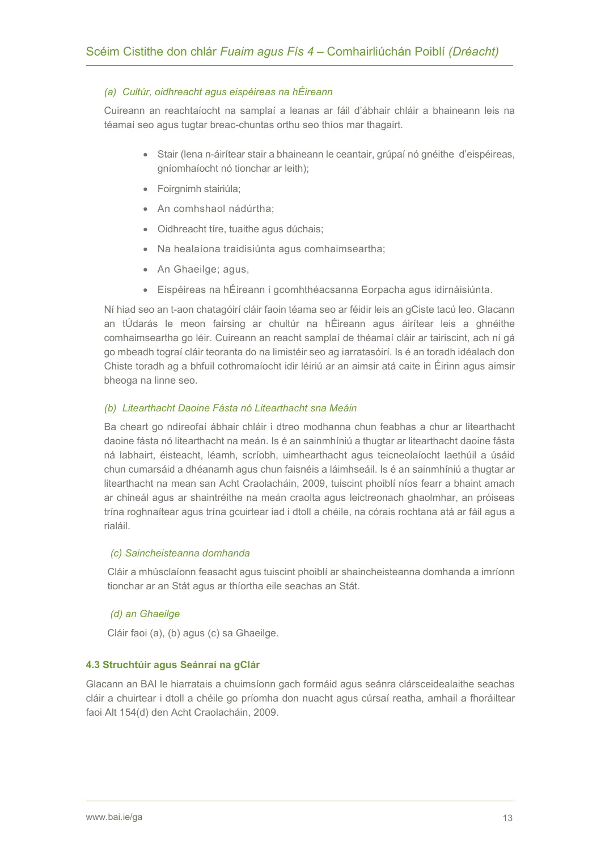#### *(a) Cultúr, oidhreacht agus eispéireas na hÉireann*

Cuireann an reachtaíocht na samplaí a leanas ar fáil d'ábhair chláir a bhaineann leis na téamaí seo agus tugtar breac-chuntas orthu seo thíos mar thagairt.

- Stair (lena n-áirítear stair a bhaineann le ceantair, grúpaí nó gnéithe d'eispéireas, gníomhaíocht nó tionchar ar leith);
- Foirgnimh stairiúla;
- An comhshaol nádúrtha;
- Oidhreacht tíre, tuaithe agus dúchais;
- Na healaíona traidisiúnta agus comhaimseartha;
- An Ghaeilge; agus,
- Eispéireas na hÉireann i gcomhthéacsanna Eorpacha agus idirnáisiúnta.

Ní hiad seo an t-aon chatagóirí cláir faoin téama seo ar féidir leis an gCiste tacú leo. Glacann an tÚdarás le meon fairsing ar chultúr na hÉireann agus áirítear leis a ghnéithe comhaimseartha go léir. Cuireann an reacht samplaí de théamaí cláir ar tairiscint, ach ní gá go mbeadh tograí cláir teoranta do na limistéir seo ag iarratasóirí. Is é an toradh idéalach don Chiste toradh ag a bhfuil cothromaíocht idir léiriú ar an aimsir atá caite in Éirinn agus aimsir bheoga na linne seo.

#### *(b) Litearthacht Daoine Fásta nó Litearthacht sna Meáin*

Ba cheart go ndíreofaí ábhair chláir i dtreo modhanna chun feabhas a chur ar litearthacht daoine fásta nó litearthacht na meán. Is é an sainmhíniú a thugtar ar litearthacht daoine fásta ná labhairt, éisteacht, léamh, scríobh, uimhearthacht agus teicneolaíocht laethúil a úsáid chun cumarsáid a dhéanamh agus chun faisnéis a láimhseáil. Is é an sainmhíniú a thugtar ar litearthacht na mean san Acht Craolacháin, 2009, tuiscint phoiblí níos fearr a bhaint amach ar chineál agus ar shaintréithe na meán craolta agus leictreonach ghaolmhar, an próiseas trína roghnaítear agus trína gcuirtear iad i dtoll a chéile, na córais rochtana atá ar fáil agus a rialáil.

#### *(c) Saincheisteanna domhanda*

Cláir a mhúsclaíonn feasacht agus tuiscint phoiblí ar shaincheisteanna domhanda a imríonn tionchar ar an Stát agus ar thíortha eile seachas an Stát.

#### *(d) an Ghaeilge*

Cláir faoi (a), (b) agus (c) sa Ghaeilge.

#### <span id="page-12-0"></span>**4.3 Struchtúir agus Seánraí na gClár**

Glacann an BAI le hiarratais a chuimsíonn gach formáid agus seánra clársceidealaithe seachas cláir a chuirtear i dtoll a chéile go príomha don nuacht agus cúrsaí reatha, amhail a fhoráiltear faoi Alt 154(d) den Acht Craolacháin, 2009.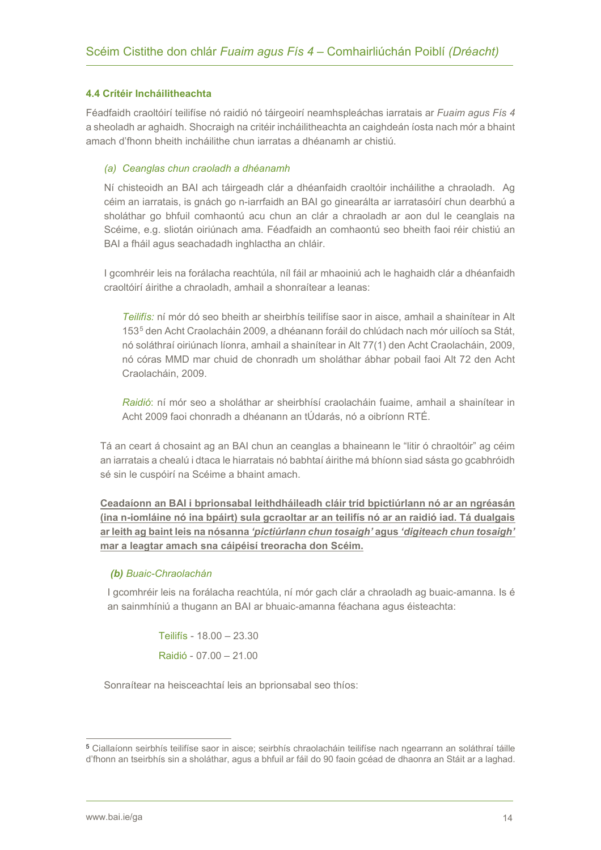#### <span id="page-13-0"></span>**4.4 Crítéir Incháilitheachta**

Féadfaidh craoltóirí teilifíse nó raidió nó táirgeoirí neamhspleáchas iarratais ar *Fuaim agus Fís 4* a sheoladh ar aghaidh. Shocraigh na critéir incháilitheachta an caighdeán íosta nach mór a bhaint amach d'fhonn bheith incháilithe chun iarratas a dhéanamh ar chistiú.

#### *(a) Ceanglas chun craoladh a dhéanamh*

Ní chisteoidh an BAI ach táirgeadh clár a dhéanfaidh craoltóir incháilithe a chraoladh. Ag céim an iarratais, is gnách go n-iarrfaidh an BAI go ginearálta ar iarratasóirí chun dearbhú a sholáthar go bhfuil comhaontú acu chun an clár a chraoladh ar aon dul le ceanglais na Scéime, e.g. sliotán oiriúnach ama. Féadfaidh an comhaontú seo bheith faoi réir chistiú an BAI a fháil agus seachadadh inghlactha an chláir.

I gcomhréir leis na forálacha reachtúla, níl fáil ar mhaoiniú ach le haghaidh clár a dhéanfaidh craoltóirí áirithe a chraoladh, amhail a shonraítear a leanas:

*Teilifís:* ní mór dó seo bheith ar sheirbhís teilifíse saor in aisce, amhail a shainítear in Alt 153[5](#page-13-1) den Acht Craolacháin 2009, a dhéanann foráil do chlúdach nach mór uilíoch sa Stát, nó soláthraí oiriúnach líonra, amhail a shainítear in Alt 77(1) den Acht Craolacháin, 2009, nó córas MMD mar chuid de chonradh um sholáthar ábhar pobail faoi Alt 72 den Acht Craolacháin, 2009.

*Raidió*: ní mór seo a sholáthar ar sheirbhísí craolacháin fuaime, amhail a shainítear in Acht 2009 faoi chonradh a dhéanann an tÚdarás, nó a oibríonn RTÉ.

Tá an ceart á chosaint ag an BAI chun an ceanglas a bhaineann le "litir ó chraoltóir" ag céim an iarratais a chealú i dtaca le hiarratais nó babhtaí áirithe má bhíonn siad sásta go gcabhróidh sé sin le cuspóirí na Scéime a bhaint amach.

**Ceadaíonn an BAI i bprionsabal leithdháileadh cláir tríd bpictiúrlann nó ar an ngréasán (ina n-iomláine nó ina bpáirt) sula gcraoltar ar an teilifís nó ar an raidió iad. Tá dualgais ar leith ag baint leis na nósanna** *'pictiúrlann chun tosaigh'* **agus** *'digiteach chun tosaigh'*  **mar a leagtar amach sna cáipéisí treoracha don Scéim.**

#### *(b) Buaic-Chraolachán*

I gcomhréir leis na forálacha reachtúla, ní mór gach clár a chraoladh ag buaic-amanna. Is é an sainmhíniú a thugann an BAI ar bhuaic-amanna féachana agus éisteachta:

> Teilifís - 18.00 – 23.30 Raidió - 07.00 – 21.00

Sonraítear na heisceachtaí leis an bprionsabal seo thíos:

<span id="page-13-1"></span><sup>5</sup> Ciallaíonn seirbhís teilifíse saor in aisce; seirbhís chraolacháin teilifíse nach ngearrann an soláthraí táille d'fhonn an tseirbhís sin a sholáthar, agus a bhfuil ar fáil do 90 faoin gcéad de dhaonra an Stáit ar a laghad.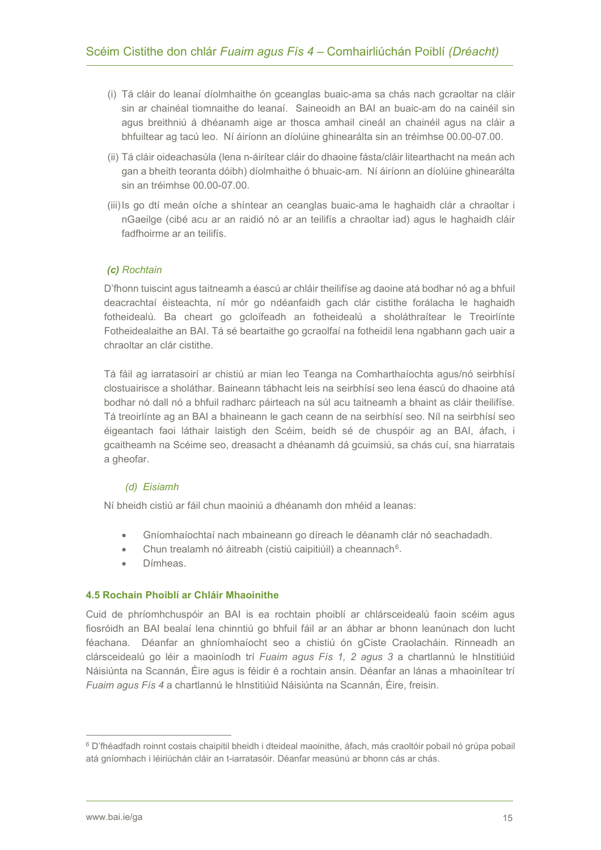- (i) Tá cláir do leanaí díolmhaithe ón gceanglas buaic-ama sa chás nach gcraoltar na cláir sin ar chainéal tiomnaithe do leanaí. Saineoidh an BAI an buaic-am do na cainéil sin agus breithniú á dhéanamh aige ar thosca amhail cineál an chainéil agus na cláir a bhfuiltear ag tacú leo. Ní áiríonn an díolúine ghinearálta sin an tréimhse 00.00-07.00.
- (ii) Tá cláir oideachasúla (lena n-áirítear cláir do dhaoine fásta/cláir litearthacht na meán ach gan a bheith teoranta dóibh) díolmhaithe ó bhuaic-am. Ní áiríonn an díolúine ghinearálta sin an tréimhse 00.00-07.00.
- (iii)Is go dtí meán oíche a shíntear an ceanglas buaic-ama le haghaidh clár a chraoltar i nGaeilge (cibé acu ar an raidió nó ar an teilifís a chraoltar iad) agus le haghaidh cláir fadfhoirme ar an teilifís.

#### *(c) Rochtain*

D'fhonn tuiscint agus taitneamh a éascú ar chláir theilifíse ag daoine atá bodhar nó ag a bhfuil deacrachtaí éisteachta, ní mór go ndéanfaidh gach clár cistithe forálacha le haghaidh fotheidealú. Ba cheart go gcloífeadh an fotheidealú a sholáthraítear le Treoirlínte Fotheidealaithe an BAI. Tá sé beartaithe go gcraolfaí na fotheidil lena ngabhann gach uair a chraoltar an clár cistithe.

Tá fáil ag iarratasoirí ar chistiú ar mian leo Teanga na Comharthaíochta agus/nó seirbhísí clostuairisce a sholáthar. Baineann tábhacht leis na seirbhísí seo lena éascú do dhaoine atá bodhar nó dall nó a bhfuil radharc páirteach na súl acu taitneamh a bhaint as cláir theilifíse. Tá treoirlínte ag an BAI a bhaineann le gach ceann de na seirbhísí seo. Níl na seirbhísí seo éigeantach faoi láthair laistigh den Scéim, beidh sé de chuspóir ag an BAI, áfach, i gcaitheamh na Scéime seo, dreasacht a dhéanamh dá gcuimsiú, sa chás cuí, sna hiarratais a gheofar.

#### *(d) Eisiamh*

Ní bheidh cistiú ar fáil chun maoiniú a dhéanamh don mhéid a leanas:

- Gníomhaíochtaí nach mbaineann go díreach le déanamh clár nó seachadadh.
- Chun trealamh nó áitreabh (cistiú caipitiúil) a cheannach<sup>6</sup>.
- Dímheas.

#### <span id="page-14-0"></span>**4.5 Rochain Phoiblí ar Chláir Mhaoinithe**

Cuid de phríomhchuspóir an BAI is ea rochtain phoiblí ar chlársceidealú faoin scéim agus fiosróidh an BAI bealaí lena chinntiú go bhfuil fáil ar an ábhar ar bhonn leanúnach don lucht féachana. Déanfar an ghníomhaíocht seo a chistiú ón gCiste Craolacháin. Rinneadh an clársceidealú go léir a maoiníodh trí *Fuaim agus Fís 1, 2 agus 3* a chartlannú le hInstitiúid Náisiúnta na Scannán, Éire agus is féidir é a rochtain ansin. Déanfar an lánas a mhaoinítear trí *Fuaim agus Fís 4* a chartlannú le hInstitiúid Náisiúnta na Scannán, Éire, freisin.

<span id="page-14-1"></span><sup>6</sup> D'fhéadfadh roinnt costais chaipitil bheidh i dteideal maoinithe, áfach, más craoltóir pobail nó grúpa pobail atá gníomhach i léiriúchán cláir an t-iarratasóir. Déanfar measúnú ar bhonn cás ar chás.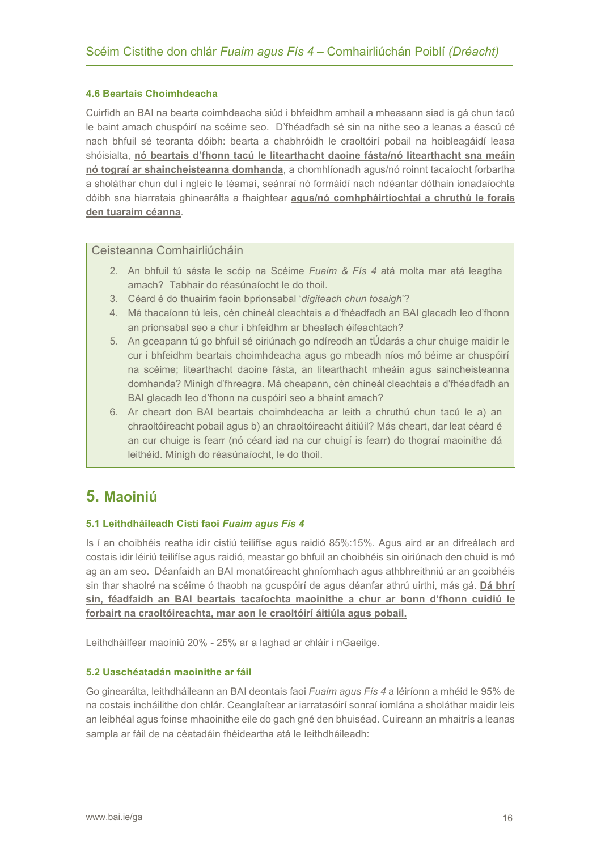#### <span id="page-15-0"></span>**4.6 Beartais Choimhdeacha**

Cuirfidh an BAI na bearta coimhdeacha siúd i bhfeidhm amhail a mheasann siad is gá chun tacú le baint amach chuspóirí na scéime seo. D'fhéadfadh sé sin na nithe seo a leanas a éascú cé nach bhfuil sé teoranta dóibh: bearta a chabhróidh le craoltóirí pobail na hoibleagáidí leasa shóisialta, **nó beartais d'fhonn tacú le litearthacht daoine fásta/nó litearthacht sna meáin nó tograí ar shaincheisteanna domhanda**, a chomhlíonadh agus/nó roinnt tacaíocht forbartha a sholáthar chun dul i ngleic le téamaí, seánraí nó formáidí nach ndéantar dóthain ionadaíochta dóibh sna hiarratais ghinearálta a fhaightear **agus/nó comhpháirtíochtaí a chruthú le forais den tuaraim céanna**.

#### Ceisteanna Comhairliúcháin

- 2. An bhfuil tú sásta le scóip na Scéime *Fuaim & Fís 4* atá molta mar atá leagtha amach? Tabhair do réasúnaíocht le do thoil.
- 3. Céard é do thuairim faoin bprionsabal '*digiteach chun tosaigh*'?
- 4. Má thacaíonn tú leis, cén chineál cleachtais a d'fhéadfadh an BAI glacadh leo d'fhonn an prionsabal seo a chur i bhfeidhm ar bhealach éifeachtach?
- 5. An gceapann tú go bhfuil sé oiriúnach go ndíreodh an tÚdarás a chur chuige maidir le cur i bhfeidhm beartais choimhdeacha agus go mbeadh níos mó béime ar chuspóirí na scéime; litearthacht daoine fásta, an litearthacht mheáin agus saincheisteanna domhanda? Mínigh d'fhreagra. Má cheapann, cén chineál cleachtais a d'fhéadfadh an BAI glacadh leo d'fhonn na cuspóirí seo a bhaint amach?
- 6. Ar cheart don BAI beartais choimhdeacha ar leith a chruthú chun tacú le a) an chraoltóireacht pobail agus b) an chraoltóireacht áitiúil? Más cheart, dar leat céard é an cur chuige is fearr (nó céard iad na cur chuigí is fearr) do thograí maoinithe dá leithéid. Mínigh do réasúnaíocht, le do thoil.

### <span id="page-15-1"></span>**5. Maoiniú**

#### <span id="page-15-2"></span>**5.1 Leithdháileadh Cistí faoi** *Fuaim agus Fís 4*

Is í an choibhéis reatha idir cistiú teilifíse agus raidió 85%:15%. Agus aird ar an difreálach ard costais idir léiriú teilifíse agus raidió, meastar go bhfuil an choibhéis sin oiriúnach den chuid is mó ag an am seo. Déanfaidh an BAI monatóireacht ghníomhach agus athbhreithniú ar an gcoibhéis sin thar shaolré na scéime ó thaobh na gcuspóirí de agus déanfar athrú uirthi, más gá. **Dá bhrí sin, féadfaidh an BAI beartais tacaíochta maoinithe a chur ar bonn d'fhonn cuidiú le forbairt na craoltóireachta, mar aon le craoltóirí áitiúla agus pobail.** 

Leithdháilfear maoiniú 20% - 25% ar a laghad ar chláir i nGaeilge.

#### <span id="page-15-3"></span>**5.2 Uaschéatadán maoinithe ar fáil**

Go ginearálta, leithdháileann an BAI deontais faoi *Fuaim agus Fís 4* a léiríonn a mhéid le 95% de na costais incháilithe don chlár. Ceanglaítear ar iarratasóirí sonraí iomlána a sholáthar maidir leis an leibhéal agus foinse mhaoinithe eile do gach gné den bhuiséad. Cuireann an mhaitrís a leanas sampla ar fáil de na céatadáin fhéideartha atá le leithdháileadh: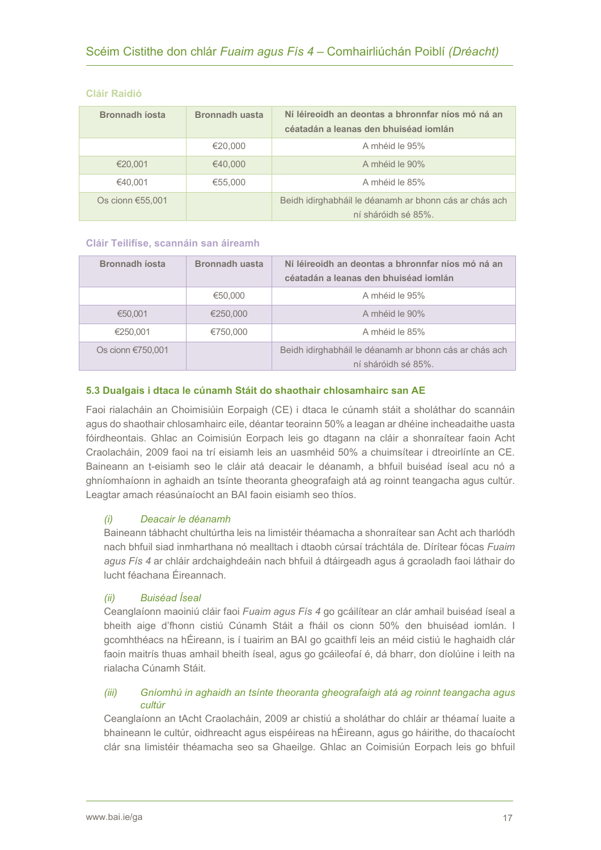| <b>Bronnadh josta</b> | <b>Bronnadh uasta</b> | Ní léireoidh an deontas a bhronnfar níos mó ná an<br>céatadán a leanas den bhuiséad iomlán |
|-----------------------|-----------------------|--------------------------------------------------------------------------------------------|
|                       | €20,000               | A mhéid le 95%                                                                             |
| €20,001               | €40,000               | A mhéid le 90%                                                                             |
| €40.001               | €55,000               | A mhéid le 85%                                                                             |
| Os cionn $€55,001$    |                       | Beidh idirghabháil le déanamh ar bhonn cás ar chás ach<br>ní sháróidh sé 85%.              |

#### **Cláir Raidió**

#### **Cláir Teilifíse, scannáin san áireamh**

| <b>Bronnadh íosta</b> | <b>Bronnadh uasta</b> | Ní léireoidh an deontas a bhronnfar níos mó ná an<br>céatadán a leanas den bhuiséad iomlán |
|-----------------------|-----------------------|--------------------------------------------------------------------------------------------|
|                       | €50,000               | A mhéid le 95%                                                                             |
| €50,001               | €250,000              | A mhéid le 90%                                                                             |
| €250.001              | €750.000              | A mhéid le 85%                                                                             |
| Os cionn €750,001     |                       | Beidh idirghabháil le déanamh ar bhonn cás ar chás ach<br>ní sháróidh sé 85%.              |

#### <span id="page-16-0"></span>**5.3 Dualgais i dtaca le cúnamh Stáit do shaothair chlosamhairc san AE**

Faoi rialacháin an Choimisiúin Eorpaigh (CE) i dtaca le cúnamh stáit a sholáthar do scannáin agus do shaothair chlosamhairc eile, déantar teorainn 50% a leagan ar dhéine incheadaithe uasta fóirdheontais. Ghlac an Coimisiún Eorpach leis go dtagann na cláir a shonraítear faoin Acht Craolacháin, 2009 faoi na trí eisiamh leis an uasmhéid 50% a chuimsítear i dtreoirlínte an CE. Baineann an t-eisiamh seo le cláir atá deacair le déanamh, a bhfuil buiséad íseal acu nó a ghníomhaíonn in aghaidh an tsínte theoranta gheografaigh atá ag roinnt teangacha agus cultúr. Leagtar amach réasúnaíocht an BAI faoin eisiamh seo thíos.

#### *(i) Deacair le déanamh*

Baineann tábhacht chultúrtha leis na limistéir théamacha a shonraítear san Acht ach tharlódh nach bhfuil siad inmharthana nó mealltach i dtaobh cúrsaí tráchtála de. Dírítear fócas *Fuaim agus Fís 4* ar chláir ardchaighdeáin nach bhfuil á dtáirgeadh agus á gcraoladh faoi láthair do lucht féachana Éireannach.

#### *(ii) Buiséad Íseal*

Ceanglaíonn maoiniú cláir faoi *Fuaim agus Fís 4* go gcáilítear an clár amhail buiséad íseal a bheith aige d'fhonn cistiú Cúnamh Stáit a fháil os cionn 50% den bhuiséad iomlán. I gcomhthéacs na hÉireann, is í tuairim an BAI go gcaithfí leis an méid cistiú le haghaidh clár faoin maitrís thuas amhail bheith íseal, agus go gcáileofaí é, dá bharr, don díolúine i leith na rialacha Cúnamh Stáit.

#### *(iii) Gníomhú in aghaidh an tsínte theoranta gheografaigh atá ag roinnt teangacha agus cultúr*

Ceanglaíonn an tAcht Craolacháin, 2009 ar chistiú a sholáthar do chláir ar théamaí luaite a bhaineann le cultúr, oidhreacht agus eispéireas na hÉireann, agus go háirithe, do thacaíocht clár sna limistéir théamacha seo sa Ghaeilge. Ghlac an Coimisiún Eorpach leis go bhfuil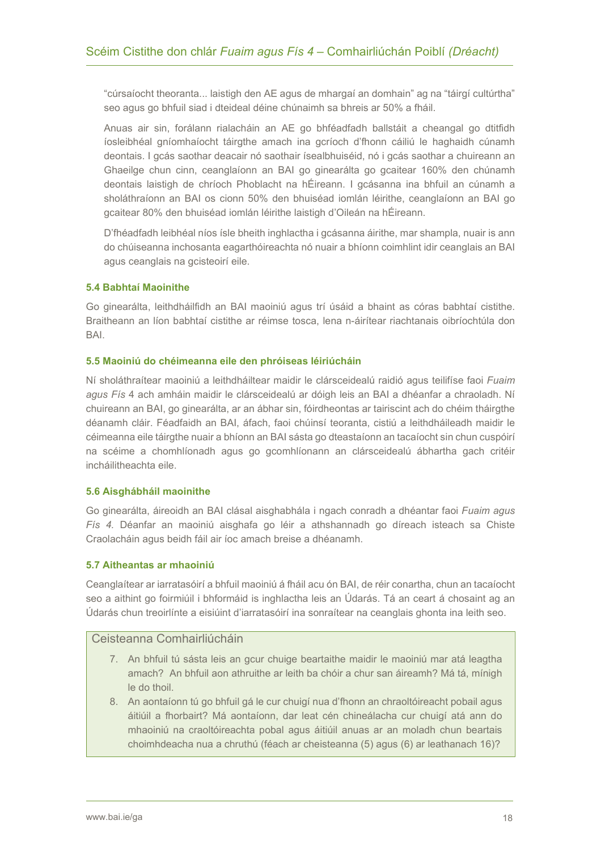"cúrsaíocht theoranta... laistigh den AE agus de mhargaí an domhain" ag na "táirgí cultúrtha" seo agus go bhfuil siad i dteideal déine chúnaimh sa bhreis ar 50% a fháil.

Anuas air sin, forálann rialacháin an AE go bhféadfadh ballstáit a cheangal go dtitfidh íosleibhéal gníomhaíocht táirgthe amach ina gcríoch d'fhonn cáiliú le haghaidh cúnamh deontais. I gcás saothar deacair nó saothair ísealbhuiséid, nó i gcás saothar a chuireann an Ghaeilge chun cinn, ceanglaíonn an BAI go ginearálta go gcaitear 160% den chúnamh deontais laistigh de chríoch Phoblacht na hÉireann. I gcásanna ina bhfuil an cúnamh a sholáthraíonn an BAI os cionn 50% den bhuiséad iomlán léirithe, ceanglaíonn an BAI go gcaitear 80% den bhuiséad iomlán léirithe laistigh d'Oileán na hÉireann.

D'fhéadfadh leibhéal níos ísle bheith inghlactha i gcásanna áirithe, mar shampla, nuair is ann do chúiseanna inchosanta eagarthóireachta nó nuair a bhíonn coimhlint idir ceanglais an BAI agus ceanglais na gcisteoirí eile.

#### <span id="page-17-0"></span>**5.4 Babhtaí Maoinithe**

Go ginearálta, leithdháilfidh an BAI maoiniú agus trí úsáid a bhaint as córas babhtaí cistithe. Braitheann an líon babhtaí cistithe ar réimse tosca, lena n-áirítear riachtanais oibríochtúla don BAI.

#### <span id="page-17-1"></span>**5.5 Maoiniú do chéimeanna eile den phróiseas léiriúcháin**

Ní sholáthraítear maoiniú a leithdháiltear maidir le clársceidealú raidió agus teilifíse faoi *Fuaim agus Fís* 4 ach amháin maidir le clársceidealú ar dóigh leis an BAI a dhéanfar a chraoladh. Ní chuireann an BAI, go ginearálta, ar an ábhar sin, fóirdheontas ar tairiscint ach do chéim tháirgthe déanamh cláir. Féadfaidh an BAI, áfach, faoi chúinsí teoranta, cistiú a leithdháileadh maidir le céimeanna eile táirgthe nuair a bhíonn an BAI sásta go dteastaíonn an tacaíocht sin chun cuspóirí na scéime a chomhlíonadh agus go gcomhlíonann an clársceidealú ábhartha gach critéir incháilitheachta eile.

#### <span id="page-17-2"></span>**5.6 Aisghábháil maoinithe**

Go ginearálta, áireoidh an BAI clásal aisghabhála i ngach conradh a dhéantar faoi *Fuaim agus Fís 4.* Déanfar an maoiniú aisghafa go léir a athshannadh go díreach isteach sa Chiste Craolacháin agus beidh fáil air íoc amach breise a dhéanamh.

#### <span id="page-17-3"></span>**5.7 Aitheantas ar mhaoiniú**

Ceanglaítear ar iarratasóirí a bhfuil maoiniú á fháil acu ón BAI, de réir conartha, chun an tacaíocht seo a aithint go foirmiúil i bhformáid is inghlactha leis an Údarás. Tá an ceart á chosaint ag an Údarás chun treoirlínte a eisiúint d'iarratasóirí ina sonraítear na ceanglais ghonta ina leith seo.

#### Ceisteanna Comhairliúcháin

- 7. An bhfuil tú sásta leis an gcur chuige beartaithe maidir le maoiniú mar atá leagtha amach? An bhfuil aon athruithe ar leith ba chóir a chur san áireamh? Má tá, mínigh le do thoil.
- 8. An aontaíonn tú go bhfuil gá le cur chuigí nua d'fhonn an chraoltóireacht pobail agus áitiúil a fhorbairt? Má aontaíonn, dar leat cén chineálacha cur chuigí atá ann do mhaoiniú na craoltóireachta pobal agus áitiúil anuas ar an moladh chun beartais choimhdeacha nua a chruthú (féach ar cheisteanna (5) agus (6) ar leathanach 16)?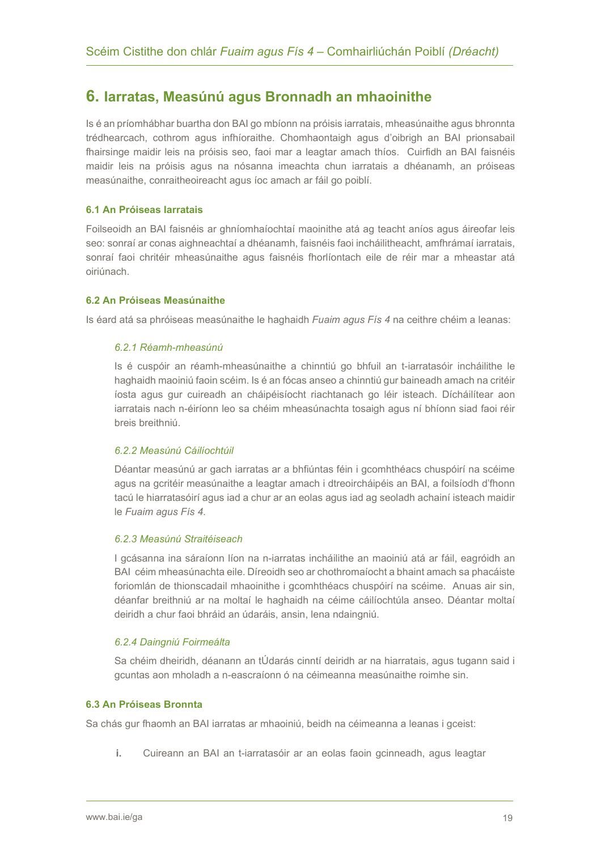### <span id="page-18-0"></span>**6. Iarratas, Measúnú agus Bronnadh an mhaoinithe**

Is é an príomhábhar buartha don BAI go mbíonn na próisis iarratais, mheasúnaithe agus bhronnta trédhearcach, cothrom agus infhíoraithe. Chomhaontaigh agus d'oibrigh an BAI prionsabail fhairsinge maidir leis na próisis seo, faoi mar a leagtar amach thíos. Cuirfidh an BAI faisnéis maidir leis na próisis agus na nósanna imeachta chun iarratais a dhéanamh, an próiseas measúnaithe, conraitheoireacht agus íoc amach ar fáil go poiblí.

#### <span id="page-18-1"></span>**6.1 An Próiseas Iarratais**

Foilseoidh an BAI faisnéis ar ghníomhaíochtaí maoinithe atá ag teacht aníos agus áireofar leis seo: sonraí ar conas aighneachtaí a dhéanamh, faisnéis faoi incháilitheacht, amfhrámaí iarratais, sonraí faoi chritéir mheasúnaithe agus faisnéis fhorlíontach eile de réir mar a mheastar atá oiriúnach.

#### <span id="page-18-2"></span>**6.2 An Próiseas Measúnaithe**

Is éard atá sa phróiseas measúnaithe le haghaidh *Fuaim agus Fís 4* na ceithre chéim a leanas:

#### *6.2.1 Réamh-mheasúnú*

Is é cuspóir an réamh-mheasúnaithe a chinntiú go bhfuil an t-iarratasóir incháilithe le haghaidh maoiniú faoin scéim. Is é an fócas anseo a chinntiú gur baineadh amach na critéir íosta agus gur cuireadh an cháipéisíocht riachtanach go léir isteach. Dícháilítear aon iarratais nach n-éiríonn leo sa chéim mheasúnachta tosaigh agus ní bhíonn siad faoi réir breis breithniú.

#### *6.2.2 Measúnú Cáilíochtúil*

Déantar measúnú ar gach iarratas ar a bhfiúntas féin i gcomhthéacs chuspóirí na scéime agus na gcritéir measúnaithe a leagtar amach i dtreoircháipéis an BAI, a foilsíodh d'fhonn tacú le hiarratasóirí agus iad a chur ar an eolas agus iad ag seoladh achainí isteach maidir le *Fuaim agus Fís 4*.

#### *6.2.3 Measúnú Straitéiseach*

I gcásanna ina sáraíonn líon na n-iarratas incháilithe an maoiniú atá ar fáil, eagróidh an BAI céim mheasúnachta eile. Díreoidh seo ar chothromaíocht a bhaint amach sa phacáiste foriomlán de thionscadail mhaoinithe i gcomhthéacs chuspóirí na scéime. Anuas air sin, déanfar breithniú ar na moltaí le haghaidh na céime cáilíochtúla anseo. Déantar moltaí deiridh a chur faoi bhráid an údaráis, ansin, lena ndaingniú.

#### *6.2.4 Daingniú Foirmeálta*

Sa chéim dheiridh, déanann an tÚdarás cinntí deiridh ar na hiarratais, agus tugann said i gcuntas aon mholadh a n-eascraíonn ó na céimeanna measúnaithe roimhe sin.

#### <span id="page-18-3"></span>**6.3 An Próiseas Bronnta**

Sa chás gur fhaomh an BAI iarratas ar mhaoiniú, beidh na céimeanna a leanas i gceist:

**i.** Cuireann an BAI an t-iarratasóir ar an eolas faoin gcinneadh, agus leagtar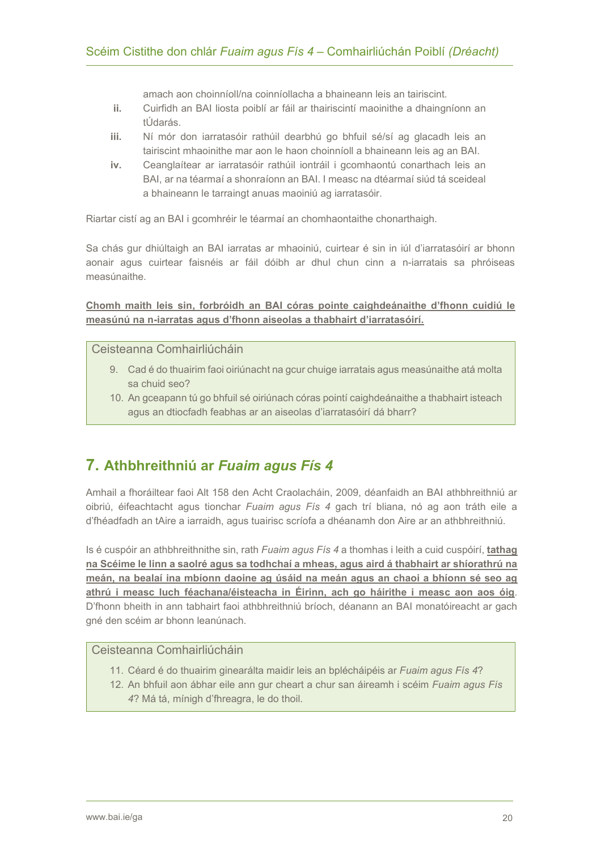amach aon choinníoll/na coinníollacha a bhaineann leis an tairiscint.

- **ii.** Cuirfidh an BAI liosta poiblí ar fáil ar thairiscintí maoinithe a dhaingníonn an tÚdarás.
- **iii.** Ní mór don iarratasóir rathúil dearbhú go bhfuil sé/sí ag glacadh leis an tairiscint mhaoinithe mar aon le haon choinníoll a bhaineann leis ag an BAI.
- **iv.** Ceanglaítear ar iarratasóir rathúil iontráil i gcomhaontú conarthach leis an BAI, ar na téarmaí a shonraíonn an BAI. I measc na dtéarmaí siúd tá sceideal a bhaineann le tarraingt anuas maoiniú ag iarratasóir.

Riartar cistí ag an BAI i gcomhréir le téarmaí an chomhaontaithe chonarthaigh.

Sa chás gur dhiúltaigh an BAI iarratas ar mhaoiniú, cuirtear é sin in iúl d'iarratasóirí ar bhonn aonair agus cuirtear faisnéis ar fáil dóibh ar dhul chun cinn a n-iarratais sa phróiseas measúnaithe.

**Chomh maith leis sin, forbróidh an BAI córas pointe caighdeánaithe d'fhonn cuidiú le measúnú na n-iarratas agus d'fhonn aiseolas a thabhairt d'iarratasóirí.** 

#### Ceisteanna Comhairliúcháin

- 9. Cad é do thuairim faoi oiriúnacht na gcur chuige iarratais agus measúnaithe atá molta sa chuid seo?
- 10. An gceapann tú go bhfuil sé oiriúnach córas pointí caighdeánaithe a thabhairt isteach agus an dtiocfadh feabhas ar an aiseolas d'iarratasóirí dá bharr?

### <span id="page-19-0"></span>**7. Athbhreithniú ar** *Fuaim agus Fís 4*

Amhail a fhoráiltear faoi Alt 158 den Acht Craolacháin, 2009, déanfaidh an BAI athbhreithniú ar oibriú, éifeachtacht agus tionchar *Fuaim agus Fís 4* gach trí bliana, nó ag aon tráth eile a d'fhéadfadh an tAire a iarraidh, agus tuairisc scríofa a dhéanamh don Aire ar an athbhreithniú.

Is é cuspóir an athbhreithnithe sin, rath *Fuaim agus Fís 4* a thomhas i leith a cuid cuspóirí, **tathag na Scéime le linn a saolré agus sa todhchaí a mheas, agus aird á thabhairt ar shíorathrú na meán, na bealaí ina mbíonn daoine ag úsáid na meán agus an chaoi a bhíonn sé seo ag athrú i measc luch féachana/éisteacha in Éirinn, ach go háirithe i measc aon aos óig**. D'fhonn bheith in ann tabhairt faoi athbhreithniú bríoch, déanann an BAI monatóireacht ar gach gné den scéim ar bhonn leanúnach.

#### Ceisteanna Comhairliúcháin

- 11. Céard é do thuairim ginearálta maidir leis an bplécháipéis ar *Fuaim agus Fís 4*?
- 12. An bhfuil aon ábhar eile ann gur cheart a chur san áireamh i scéim *Fuaim agus Fís 4*? Má tá, mínigh d'fhreagra, le do thoil.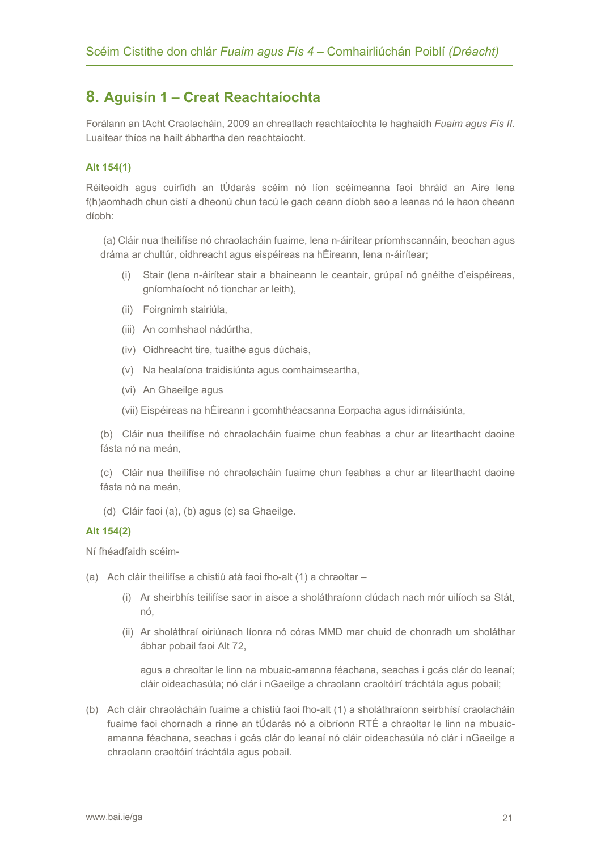### **8. Aguisín 1 – Creat Reachtaíochta**

Forálann an tAcht Craolacháin, 2009 an chreatlach reachtaíochta le haghaidh *Fuaim agus Fís II*. Luaitear thíos na hailt ábhartha den reachtaíocht.

#### **Alt 154(1)**

Réiteoidh agus cuirfidh an tÚdarás scéim nó líon scéimeanna faoi bhráid an Aire lena f(h)aomhadh chun cistí a dheonú chun tacú le gach ceann díobh seo a leanas nó le haon cheann díobh:

(a) Cláir nua theilifíse nó chraolacháin fuaime, lena n-áirítear príomhscannáin, beochan agus dráma ar chultúr, oidhreacht agus eispéireas na hÉireann, lena n-áirítear;

- (i) Stair (lena n-áirítear stair a bhaineann le ceantair, grúpaí nó gnéithe d'eispéireas, gníomhaíocht nó tionchar ar leith),
- (ii) Foirgnimh stairiúla,
- (iii) An comhshaol nádúrtha,
- (iv) Oidhreacht tíre, tuaithe agus dúchais,
- (v) Na healaíona traidisiúnta agus comhaimseartha,
- (vi) An Ghaeilge agus
- (vii) Eispéireas na hÉireann i gcomhthéacsanna Eorpacha agus idirnáisiúnta,

(b) Cláir nua theilifíse nó chraolacháin fuaime chun feabhas a chur ar litearthacht daoine fásta nó na meán,

(c) Cláir nua theilifíse nó chraolacháin fuaime chun feabhas a chur ar litearthacht daoine fásta nó na meán,

(d) Cláir faoi (a), (b) agus (c) sa Ghaeilge.

#### **Alt 154(2)**

Ní fhéadfaidh scéim-

- (a) Ach cláir theilifíse a chistiú atá faoi fho-alt (1) a chraoltar
	- (i) Ar sheirbhís teilifíse saor in aisce a sholáthraíonn clúdach nach mór uilíoch sa Stát, nó,
	- (ii) Ar sholáthraí oiriúnach líonra nó córas MMD mar chuid de chonradh um sholáthar ábhar pobail faoi Alt 72,

agus a chraoltar le linn na mbuaic-amanna féachana, seachas i gcás clár do leanaí; cláir oideachasúla; nó clár i nGaeilge a chraolann craoltóirí tráchtála agus pobail;

(b) Ach cláir chraolácháin fuaime a chistiú faoi fho-alt (1) a sholáthraíonn seirbhísí craolacháin fuaime faoi chornadh a rinne an tÚdarás nó a oibríonn RTÉ a chraoltar le linn na mbuaicamanna féachana, seachas i gcás clár do leanaí nó cláir oideachasúla nó clár i nGaeilge a chraolann craoltóirí tráchtála agus pobail.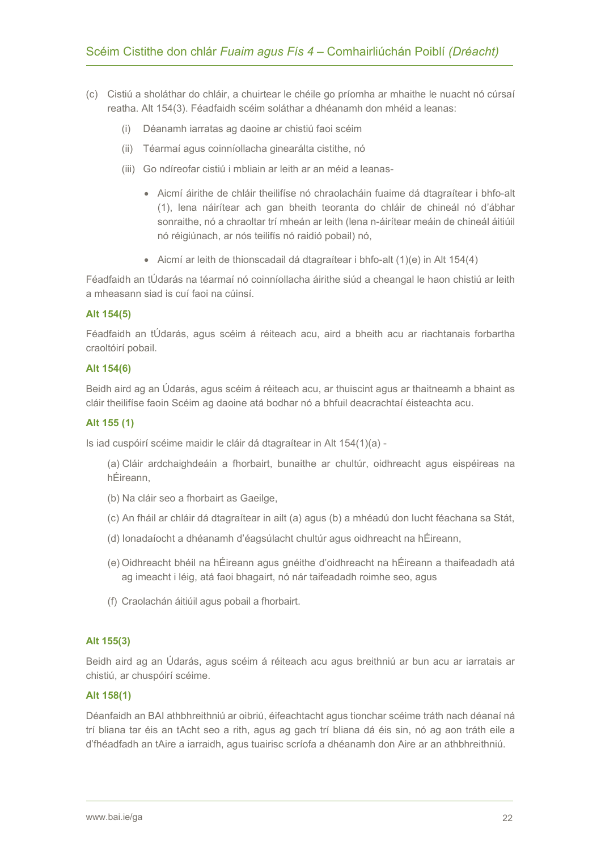- (c) Cistiú a sholáthar do chláir, a chuirtear le chéile go príomha ar mhaithe le nuacht nó cúrsaí reatha. Alt 154(3). Féadfaidh scéim soláthar a dhéanamh don mhéid a leanas:
	- (i) Déanamh iarratas ag daoine ar chistiú faoi scéim
	- (ii) Téarmaí agus coinníollacha ginearálta cistithe, nó
	- (iii) Go ndíreofar cistiú i mbliain ar leith ar an méid a leanas-
		- Aicmí áirithe de chláir theilifíse nó chraolacháin fuaime dá dtagraítear i bhfo-alt (1), lena náirítear ach gan bheith teoranta do chláir de chineál nó d'ábhar sonraithe, nó a chraoltar trí mheán ar leith (lena n-áirítear meáin de chineál áitiúil nó réigiúnach, ar nós teilifís nó raidió pobail) nó,
		- Aicmí ar leith de thionscadail dá dtagraítear i bhfo-alt (1)(e) in Alt 154(4)

Féadfaidh an tÚdarás na téarmaí nó coinníollacha áirithe siúd a cheangal le haon chistiú ar leith a mheasann siad is cuí faoi na cúinsí.

#### **Alt 154(5)**

Féadfaidh an tÚdarás, agus scéim á réiteach acu, aird a bheith acu ar riachtanais forbartha craoltóirí pobail.

#### **Alt 154(6)**

Beidh aird ag an Údarás, agus scéim á réiteach acu, ar thuiscint agus ar thaitneamh a bhaint as cláir theilifíse faoin Scéim ag daoine atá bodhar nó a bhfuil deacrachtaí éisteachta acu.

#### **Alt 155 (1)**

Is iad cuspóirí scéime maidir le cláir dá dtagraítear in Alt 154(1)(a) -

- (a) Cláir ardchaighdeáin a fhorbairt, bunaithe ar chultúr, oidhreacht agus eispéireas na hÉireann,
- (b) Na cláir seo a fhorbairt as Gaeilge,
- (c) An fháil ar chláir dá dtagraítear in ailt (a) agus (b) a mhéadú don lucht féachana sa Stát,
- (d) Ionadaíocht a dhéanamh d'éagsúlacht chultúr agus oidhreacht na hÉireann,
- (e) Oidhreacht bhéil na hÉireann agus gnéithe d'oidhreacht na hÉireann a thaifeadadh atá ag imeacht i léig, atá faoi bhagairt, nó nár taifeadadh roimhe seo, agus
- (f) Craolachán áitiúil agus pobail a fhorbairt.

#### **Alt 155(3)**

Beidh aird ag an Údarás, agus scéim á réiteach acu agus breithniú ar bun acu ar iarratais ar chistiú, ar chuspóirí scéime.

#### **Alt 158(1)**

Déanfaidh an BAI athbhreithniú ar oibriú, éifeachtacht agus tionchar scéime tráth nach déanaí ná trí bliana tar éis an tAcht seo a rith, agus ag gach trí bliana dá éis sin, nó ag aon tráth eile a d'fhéadfadh an tAire a iarraidh, agus tuairisc scríofa a dhéanamh don Aire ar an athbhreithniú.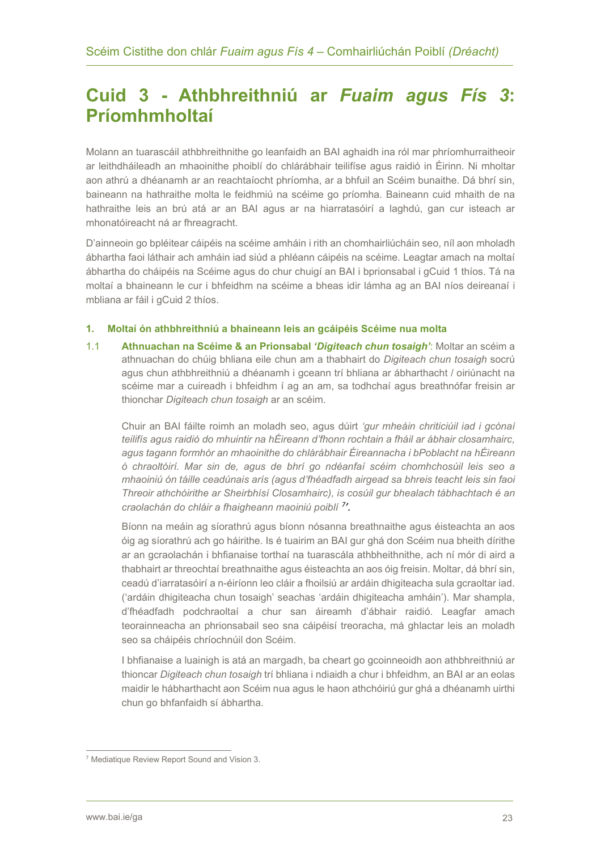## <span id="page-22-0"></span>**Cuid 3 - Athbhreithniú ar** *Fuaim agus Fís 3***: Príomhmholtaí**

Molann an tuarascáil athbhreithnithe go leanfaidh an BAI aghaidh ina ról mar phríomhurraitheoir ar leithdháileadh an mhaoinithe phoiblí do chlárábhair teilifíse agus raidió in Éirinn. Ni mholtar aon athrú a dhéanamh ar an reachtaíocht phríomha, ar a bhfuil an Scéim bunaithe. Dá bhrí sin, baineann na hathraithe molta le feidhmiú na scéime go príomha. Baineann cuid mhaith de na hathraithe leis an brú atá ar an BAI agus ar na hiarratasóirí a laghdú, gan cur isteach ar mhonatóireacht ná ar fhreagracht.

D'ainneoin go bpléitear cáipéis na scéime amháin i rith an chomhairliúcháin seo, níl aon mholadh ábhartha faoi láthair ach amháin iad siúd a phléann cáipéis na scéime. Leagtar amach na moltaí ábhartha do cháipéis na Scéime agus do chur chuigí an BAI i bprionsabal i gCuid 1 thíos. Tá na moltaí a bhaineann le cur i bhfeidhm na scéime a bheas idir lámha ag an BAI níos deireanaí i mbliana ar fáil i gCuid 2 thíos.

#### **1. Moltaí ón athbhreithniú a bhaineann leis an gcáipéis Scéime nua molta**

1.1 **Athnuachan na Scéime & an Prionsabal** *'Digiteach chun tosaigh'*: Moltar an scéim a athnuachan do chúig bhliana eile chun am a thabhairt do *Digiteach chun tosaigh* socrú agus chun athbhreithniú a dhéanamh i gceann trí bhliana ar ábharthacht / oiriúnacht na scéime mar a cuireadh i bhfeidhm í ag an am, sa todhchaí agus breathnófar freisin ar thionchar *Digiteach chun tosaigh* ar an scéim.

Chuir an BAI fáilte roimh an moladh seo, agus dúirt *'gur mheáin chriticiúil iad i gcónaí teilifís agus raidió do mhuintir na hÉireann d'fhonn rochtain a fháil ar ábhair closamhairc, agus tagann formhór an mhaoinithe do chlárábhair Éireannacha i bPoblacht na hÉireann ó chraoltóirí. Mar sin de, agus de bhrí go ndéanfaí scéim chomhchosúil leis seo a mhaoiniú ón táille ceadúnais arís (agus d'fhéadfadh airgead sa bhreis teacht leis sin faoi Threoir athchóirithe ar Sheirbhísí Closamhairc), is cosúil gur bhealach tábhachtach é an craolachán do chláir a fhaigheann maoiniú poiblí [7](#page-22-1) '.* 

Bíonn na meáin ag síorathrú agus bíonn nósanna breathnaithe agus éisteachta an aos óig ag síorathrú ach go háirithe. Is é tuairim an BAI gur ghá don Scéim nua bheith dírithe ar an gcraolachán i bhfianaise torthaí na tuarascála athbheithnithe, ach ní mór di aird a thabhairt ar threochtaí breathnaithe agus éisteachta an aos óig freisin. Moltar, dá bhrí sin, ceadú d'iarratasóirí a n-éiríonn leo cláir a fhoilsiú ar ardáin dhigiteacha sula gcraoltar iad. ('ardáin dhigiteacha chun tosaigh' seachas 'ardáin dhigiteacha amháin'). Mar shampla, d'fhéadfadh podchraoltaí a chur san áireamh d'ábhair raidió. Leagfar amach teorainneacha an phrionsabail seo sna cáipéisí treoracha, má ghlactar leis an moladh seo sa cháipéis chríochnúil don Scéim.

I bhfianaise a luainigh is atá an margadh, ba cheart go gcoinneoidh aon athbhreithniú ar thioncar *Digiteach chun tosaigh* trí bhliana i ndiaidh a chur i bhfeidhm, an BAI ar an eolas maidir le hábharthacht aon Scéim nua agus le haon athchóiriú gur ghá a dhéanamh uirthi chun go bhfanfaidh sí ábhartha.

<span id="page-22-1"></span><sup>7</sup> Mediatique Review Report Sound and Vision 3.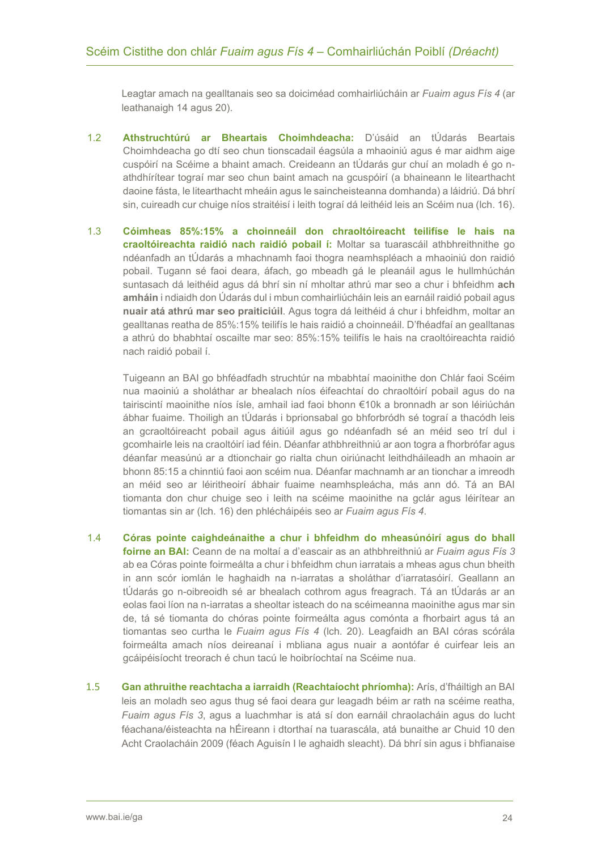Leagtar amach na gealltanais seo sa doiciméad comhairliúcháin ar *Fuaim agus Fís 4* (ar leathanaigh 14 agus 20).

- 1.2 **Athstruchtúrú ar Bheartais Choimhdeacha:** D'úsáid an tÚdarás Beartais Choimhdeacha go dtí seo chun tionscadail éagsúla a mhaoiniú agus é mar aidhm aige cuspóirí na Scéime a bhaint amach. Creideann an tÚdarás gur chuí an moladh é go nathdhírítear tograí mar seo chun baint amach na gcuspóirí (a bhaineann le litearthacht daoine fásta, le litearthacht mheáin agus le saincheisteanna domhanda) a láidriú. Dá bhrí sin, cuireadh cur chuige níos straitéisí i leith tograí dá leithéid leis an Scéim nua (lch. 16).
- 1.3 **Cóimheas 85%:15% a choinneáil don chraoltóireacht teilifíse le hais na craoltóireachta raidió nach raidió pobail í:** Moltar sa tuarascáil athbhreithnithe go ndéanfadh an tÚdarás a mhachnamh faoi thogra neamhspléach a mhaoiniú don raidió pobail. Tugann sé faoi deara, áfach, go mbeadh gá le pleanáil agus le hullmhúchán suntasach dá leithéid agus dá bhrí sin ní mholtar athrú mar seo a chur i bhfeidhm **ach amháin** i ndiaidh don Údarás dul i mbun comhairliúcháin leis an earnáil raidió pobail agus **nuair atá athrú mar seo praiticiúil**. Agus togra dá leithéid á chur i bhfeidhm, moltar an gealltanas reatha de 85%:15% teilifís le hais raidió a choinneáil. D'fhéadfaí an gealltanas a athrú do bhabhtaí oscailte mar seo: 85%:15% teilifís le hais na craoltóireachta raidió nach raidió pobail í.

Tuigeann an BAI go bhféadfadh struchtúr na mbabhtaí maoinithe don Chlár faoi Scéim nua maoiniú a sholáthar ar bhealach níos éifeachtaí do chraoltóirí pobail agus do na tairiscintí maoinithe níos ísle, amhail iad faoi bhonn €10k a bronnadh ar son léiriúchán ábhar fuaime. Thoiligh an tÚdarás i bprionsabal go bhforbródh sé tograí a thacódh leis an gcraoltóireacht pobail agus áitiúil agus go ndéanfadh sé an méid seo trí dul i gcomhairle leis na craoltóirí iad féin. Déanfar athbhreithniú ar aon togra a fhorbrófar agus déanfar measúnú ar a dtionchair go rialta chun oiriúnacht leithdháileadh an mhaoin ar bhonn 85:15 a chinntiú faoi aon scéim nua. Déanfar machnamh ar an tionchar a imreodh an méid seo ar léiritheoirí ábhair fuaime neamhspleácha, más ann dó. Tá an BAI tiomanta don chur chuige seo i leith na scéime maoinithe na gclár agus léirítear an tiomantas sin ar (lch. 16) den phlécháipéis seo ar *Fuaim agus Fís 4*.

- 1.4 **Córas pointe caighdeánaithe a chur i bhfeidhm do mheasúnóirí agus do bhall foirne an BAI:** Ceann de na moltaí a d'eascair as an athbhreithniú ar *Fuaim agus Fís 3*  ab ea Córas pointe foirmeálta a chur i bhfeidhm chun iarratais a mheas agus chun bheith in ann scór iomlán le haghaidh na n-iarratas a sholáthar d'iarratasóirí. Geallann an tÚdarás go n-oibreoidh sé ar bhealach cothrom agus freagrach. Tá an tÚdarás ar an eolas faoi líon na n-iarratas a sheoltar isteach do na scéimeanna maoinithe agus mar sin de, tá sé tiomanta do chóras pointe foirmeálta agus comónta a fhorbairt agus tá an tiomantas seo curtha le *Fuaim agus Fís 4* (lch. 20). Leagfaidh an BAI córas scórála foirmeálta amach níos deireanaí i mbliana agus nuair a aontófar é cuirfear leis an gcáipéisíocht treorach é chun tacú le hoibríochtaí na Scéime nua.
- 1.5 **Gan athruithe reachtacha a iarraidh (Reachtaíocht phríomha):** Arís, d'fháiltigh an BAI leis an moladh seo agus thug sé faoi deara gur leagadh béim ar rath na scéime reatha, *Fuaim agus Fís 3*, agus a luachmhar is atá sí don earnáil chraolacháin agus do lucht féachana/éisteachta na hÉireann i dtorthaí na tuarascála, atá bunaithe ar Chuid 10 den Acht Craolacháin 2009 (féach Aguisín I le aghaidh sleacht). Dá bhrí sin agus i bhfianaise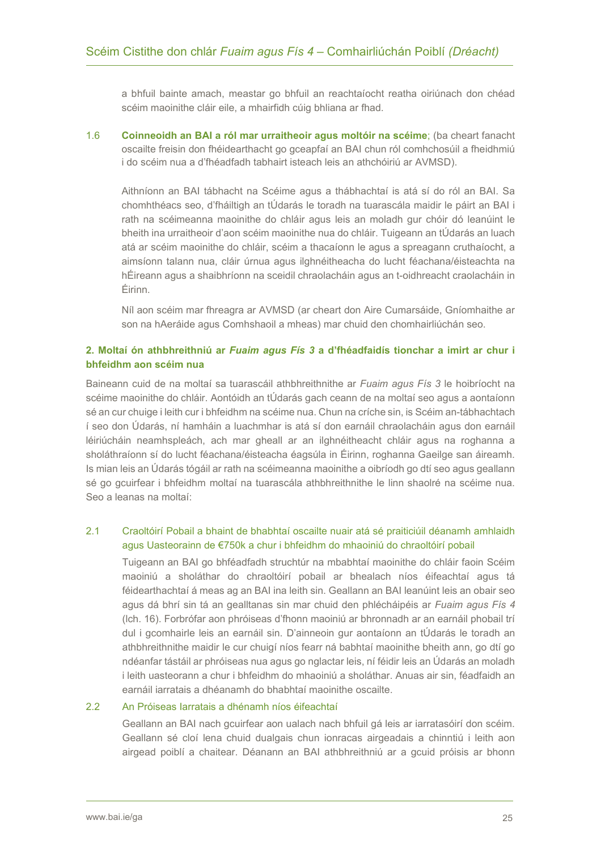a bhfuil bainte amach, meastar go bhfuil an reachtaíocht reatha oiriúnach don chéad scéim maoinithe cláir eile, a mhairfidh cúig bhliana ar fhad.

1.6 **Coinneoidh an BAI a ról mar urraitheoir agus moltóir na scéime**; (ba cheart fanacht oscailte freisin don fhéidearthacht go gceapfaí an BAI chun ról comhchosúil a fheidhmiú i do scéim nua a d'fhéadfadh tabhairt isteach leis an athchóiriú ar AVMSD).

Aithníonn an BAI tábhacht na Scéime agus a thábhachtaí is atá sí do ról an BAI. Sa chomhthéacs seo, d'fháiltigh an tÚdarás le toradh na tuarascála maidir le páirt an BAI i rath na scéimeanna maoinithe do chláir agus leis an moladh gur chóir dó leanúint le bheith ina urraitheoir d'aon scéim maoinithe nua do chláir. Tuigeann an tÚdarás an luach atá ar scéim maoinithe do chláir, scéim a thacaíonn le agus a spreagann cruthaíocht, a aimsíonn talann nua, cláir úrnua agus ilghnéitheacha do lucht féachana/éisteachta na hÉireann agus a shaibhríonn na sceidil chraolacháin agus an t-oidhreacht craolacháin in Éirinn.

Níl aon scéim mar fhreagra ar AVMSD (ar cheart don Aire Cumarsáide, Gníomhaithe ar son na hAeráide agus Comhshaoil a mheas) mar chuid den chomhairliúchán seo.

#### **2. Moltaí ón athbhreithniú ar** *Fuaim agus Fís 3* **a d'fhéadfaidís tionchar a imirt ar chur i bhfeidhm aon scéim nua**

Baineann cuid de na moltaí sa tuarascáil athbhreithnithe ar *Fuaim agus Fís 3* le hoibríocht na scéime maoinithe do chláir. Aontóidh an tÚdarás gach ceann de na moltaí seo agus a aontaíonn sé an cur chuige i leith cur i bhfeidhm na scéime nua. Chun na críche sin, is Scéim an-tábhachtach í seo don Údarás, ní hamháin a luachmhar is atá sí don earnáil chraolacháin agus don earnáil léiriúcháin neamhspleách, ach mar gheall ar an ilghnéitheacht chláir agus na roghanna a sholáthraíonn sí do lucht féachana/éisteacha éagsúla in Éirinn, roghanna Gaeilge san áireamh. Is mian leis an Údarás tógáil ar rath na scéimeanna maoinithe a oibríodh go dtí seo agus geallann sé go gcuirfear i bhfeidhm moltaí na tuarascála athbhreithnithe le linn shaolré na scéime nua. Seo a leanas na moltaí:

#### 2.1 Craoltóirí Pobail a bhaint de bhabhtaí oscailte nuair atá sé praiticiúil déanamh amhlaidh agus Uasteorainn de €750k a chur i bhfeidhm do mhaoiniú do chraoltóirí pobail

Tuigeann an BAI go bhféadfadh struchtúr na mbabhtaí maoinithe do chláir faoin Scéim maoiniú a sholáthar do chraoltóirí pobail ar bhealach níos éifeachtaí agus tá féidearthachtaí á meas ag an BAI ina leith sin. Geallann an BAI leanúint leis an obair seo agus dá bhrí sin tá an gealltanas sin mar chuid den phlécháipéis ar *Fuaim agus Fís 4* (lch. 16). Forbrófar aon phróiseas d'fhonn maoiniú ar bhronnadh ar an earnáil phobail trí dul i gcomhairle leis an earnáil sin. D'ainneoin gur aontaíonn an tÚdarás le toradh an athbhreithnithe maidir le cur chuigí níos fearr ná babhtaí maoinithe bheith ann, go dtí go ndéanfar tástáil ar phróiseas nua agus go nglactar leis, ní féidir leis an Údarás an moladh i leith uasteorann a chur i bhfeidhm do mhaoiniú a sholáthar. Anuas air sin, féadfaidh an earnáil iarratais a dhéanamh do bhabhtaí maoinithe oscailte.

#### 2.2 An Próiseas Iarratais a dhénamh níos éifeachtaí

Geallann an BAI nach gcuirfear aon ualach nach bhfuil gá leis ar iarratasóirí don scéim. Geallann sé cloí lena chuid dualgais chun ionracas airgeadais a chinntiú i leith aon airgead poiblí a chaitear. Déanann an BAI athbhreithniú ar a gcuid próisis ar bhonn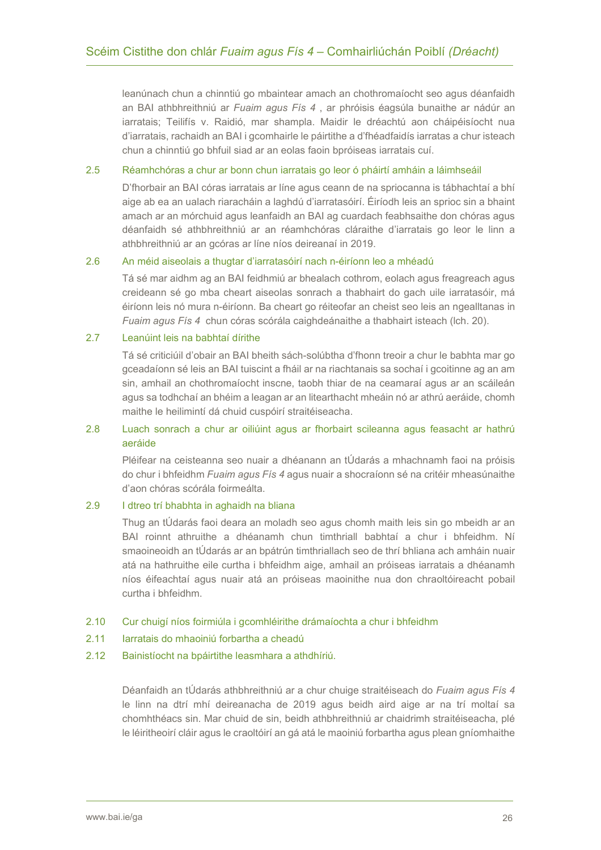leanúnach chun a chinntiú go mbaintear amach an chothromaíocht seo agus déanfaidh an BAI athbhreithniú ar *Fuaim agus Fís 4* , ar phróisis éagsúla bunaithe ar nádúr an iarratais; Teilifís v. Raidió, mar shampla. Maidir le dréachtú aon cháipéisíocht nua d'iarratais, rachaidh an BAI i gcomhairle le páirtithe a d'fhéadfaidís iarratas a chur isteach chun a chinntiú go bhfuil siad ar an eolas faoin bpróiseas iarratais cuí.

#### 2.5 Réamhchóras a chur ar bonn chun iarratais go leor ó pháirtí amháin a láimhseáil

D'fhorbair an BAI córas iarratais ar líne agus ceann de na spriocanna is tábhachtaí a bhí aige ab ea an ualach riaracháin a laghdú d'iarratasóirí. Éiríodh leis an sprioc sin a bhaint amach ar an mórchuid agus leanfaidh an BAI ag cuardach feabhsaithe don chóras agus déanfaidh sé athbhreithniú ar an réamhchóras cláraithe d'iarratais go leor le linn a athbhreithniú ar an gcóras ar líne níos deireanaí in 2019.

#### 2.6 An méid aiseolais a thugtar d'iarratasóirí nach n-éiríonn leo a mhéadú

Tá sé mar aidhm ag an BAI feidhmiú ar bhealach cothrom, eolach agus freagreach agus creideann sé go mba cheart aiseolas sonrach a thabhairt do gach uile iarratasóir, má éiríonn leis nó mura n-éiríonn. Ba cheart go réiteofar an cheist seo leis an ngealltanas in *Fuaim agus Fís 4* chun córas scórála caighdeánaithe a thabhairt isteach (lch. 20).

#### 2.7 Leanúint leis na babhtaí dírithe

Tá sé criticiúil d'obair an BAI bheith sách-solúbtha d'fhonn treoir a chur le babhta mar go gceadaíonn sé leis an BAI tuiscint a fháil ar na riachtanais sa sochaí i gcoitinne ag an am sin, amhail an chothromaíocht inscne, taobh thiar de na ceamaraí agus ar an scáileán agus sa todhchaí an bhéim a leagan ar an litearthacht mheáin nó ar athrú aeráide, chomh maithe le heilimintí dá chuid cuspóirí straitéiseacha.

#### 2.8 Luach sonrach a chur ar oiliúint agus ar fhorbairt scileanna agus feasacht ar hathrú aeráide

Pléifear na ceisteanna seo nuair a dhéanann an tÚdarás a mhachnamh faoi na próisis do chur i bhfeidhm *Fuaim agus Fís 4* agus nuair a shocraíonn sé na critéir mheasúnaithe d'aon chóras scórála foirmeálta.

#### 2.9 I dtreo trí bhabhta in aghaidh na bliana

Thug an tÚdarás faoi deara an moladh seo agus chomh maith leis sin go mbeidh ar an BAI roinnt athruithe a dhéanamh chun timthriall babhtaí a chur i bhfeidhm. Ní smaoineoidh an tÚdarás ar an bpátrún timthriallach seo de thrí bhliana ach amháin nuair atá na hathruithe eile curtha i bhfeidhm aige, amhail an próiseas iarratais a dhéanamh níos éifeachtaí agus nuair atá an próiseas maoinithe nua don chraoltóireacht pobail curtha i bhfeidhm.

#### 2.10 Cur chuigí níos foirmiúla i gcomhléirithe drámaíochta a chur i bhfeidhm

- 2.11 Iarratais do mhaoiniú forbartha a cheadú
- 2.12 Bainistíocht na bpáirtithe leasmhara a athdhíriú.

Déanfaidh an tÚdarás athbhreithniú ar a chur chuige straitéiseach do *Fuaim agus Fís 4*  le linn na dtrí mhí deireanacha de 2019 agus beidh aird aige ar na trí moltaí sa chomhthéacs sin. Mar chuid de sin, beidh athbhreithniú ar chaidrimh straitéiseacha, plé le léiritheoirí cláir agus le craoltóirí an gá atá le maoiniú forbartha agus plean gníomhaithe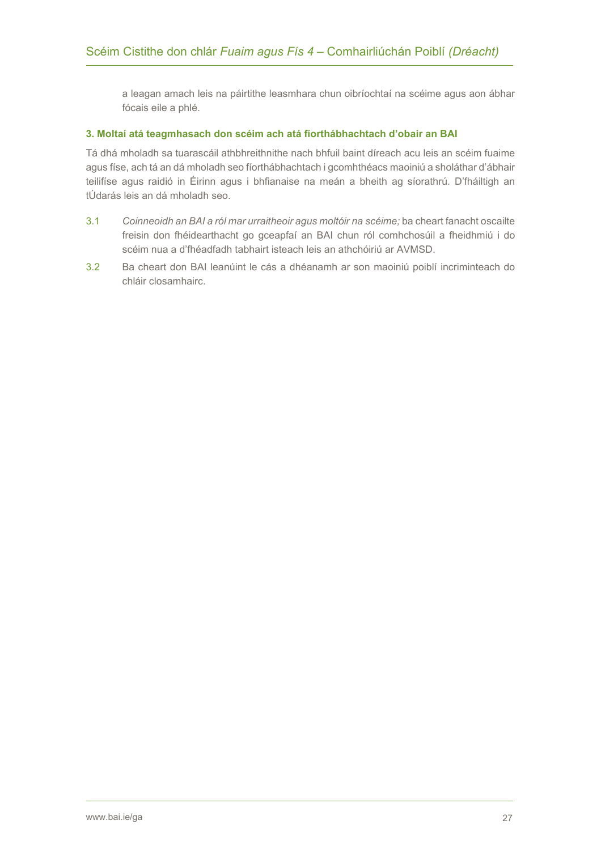a leagan amach leis na páirtithe leasmhara chun oibríochtaí na scéime agus aon ábhar fócais eile a phlé.

#### **3. Moltaí atá teagmhasach don scéim ach atá fíorthábhachtach d'obair an BAI**

Tá dhá mholadh sa tuarascáil athbhreithnithe nach bhfuil baint díreach acu leis an scéim fuaime agus físe, ach tá an dá mholadh seo fíorthábhachtach i gcomhthéacs maoiniú a sholáthar d'ábhair teilifíse agus raidió in Éirinn agus i bhfianaise na meán a bheith ag síorathrú. D'fháiltigh an tÚdarás leis an dá mholadh seo.

- 3.1 *Coinneoidh an BAI a ról mar urraitheoir agus moltóir na scéime;* ba cheart fanacht oscailte freisin don fhéidearthacht go gceapfaí an BAI chun ról comhchosúil a fheidhmiú i do scéim nua a d'fhéadfadh tabhairt isteach leis an athchóiriú ar AVMSD.
- 3.2 Ba cheart don BAI leanúint le cás a dhéanamh ar son maoiniú poiblí incriminteach do chláir closamhairc.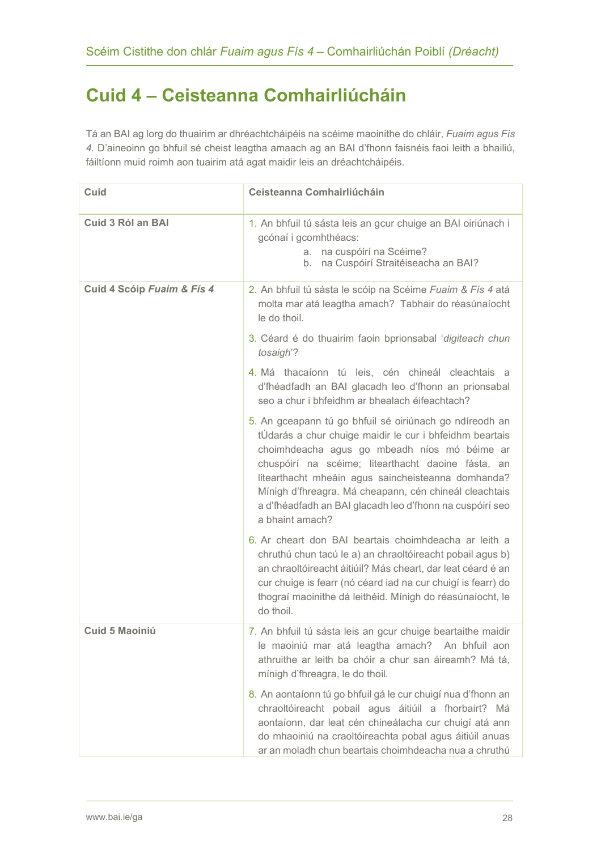# <span id="page-27-0"></span>**Cuid 4 – Ceisteanna Comhairliúcháin**

Tá an BAI ag lorg do thuairim ar dhréachtcháipéis na scéime maoinithe do chláir, *Fuaim agus Fís 4.* D'aineoinn go bhfuil sé cheist leagtha amaach ag an BAI d'fhonn faisnéis faoi leith a bhailiú, fáiltíonn muid roimh aon tuairim atá agat maidir leis an dréachtcháipéis.

| Cuid                       | Ceisteanna Comhairliúcháin                                                                                                                                                                                                                                                                                                                                                                                              |
|----------------------------|-------------------------------------------------------------------------------------------------------------------------------------------------------------------------------------------------------------------------------------------------------------------------------------------------------------------------------------------------------------------------------------------------------------------------|
| <b>Cuid 3 Ról an BAI</b>   | 1. An bhfuil tú sásta leis an gcur chuige an BAI oiriúnach i<br>gcónaí i gcomhthéacs:<br>a. na cuspóirí na Scéime?<br>na Cuspóirí Straitéiseacha an BAI?<br>b.                                                                                                                                                                                                                                                          |
| Cuid 4 Scóip Fuaim & Fís 4 | 2. An bhfuil tú sásta le scóip na Scéime Fuaim & Fís 4 atá<br>molta mar atá leagtha amach? Tabhair do réasúnaíocht<br>le do thoil.                                                                                                                                                                                                                                                                                      |
|                            | 3. Céard é do thuairim faoin bprionsabal 'digiteach chun<br>tosaigh'?                                                                                                                                                                                                                                                                                                                                                   |
|                            | 4. Má thacaíonn tú leis, cén chineál cleachtais a<br>d'fhéadfadh an BAI glacadh leo d'fhonn an prionsabal<br>seo a chur i bhfeidhm ar bhealach éifeachtach?                                                                                                                                                                                                                                                             |
|                            | 5. An gceapann tú go bhfuil sé oiriúnach go ndíreodh an<br>tÚdarás a chur chuige maidir le cur i bhfeidhm beartais<br>choimhdeacha agus go mbeadh níos mó béime ar<br>chuspóirí na scéime; litearthacht daoine fásta, an<br>litearthacht mheáin agus saincheisteanna domhanda?<br>Mínigh d'fhreagra. Má cheapann, cén chineál cleachtais<br>a d'fhéadfadh an BAI glacadh leo d'fhonn na cuspóirí seo<br>a bhaint amach? |
|                            | 6. Ar cheart don BAI beartais choimhdeacha ar leith a<br>chruthú chun tacú le a) an chraoltóireacht pobail agus b)<br>an chraoltóireacht áitiúil? Más cheart, dar leat céard é an<br>cur chuige is fearr (nó céard iad na cur chuigí is fearr) do<br>thograí maoinithe dá leithéid. Mínigh do réasúnaíocht, le<br>do thoil.                                                                                             |
| Cuid 5 Maoiniú             | 7. An bhfuil tú sásta leis an gcur chuige beartaithe maidir<br>le maoiniú mar atá leagtha amach? An bhfuil aon<br>athruithe ar leith ba chóir a chur san áireamh? Má tá,<br>mínigh d'fhreagra, le do thoil.                                                                                                                                                                                                             |
|                            | 8. An aontaíonn tú go bhfuil gá le cur chuigí nua d'fhonn an<br>chraoltóireacht pobail agus áitiúil a fhorbairt? Má<br>aontaíonn, dar leat cén chineálacha cur chuigí atá ann<br>do mhaoiniú na craoltóireachta pobal agus áitiúil anuas<br>ar an moladh chun beartais choimhdeacha nua a chruthú                                                                                                                       |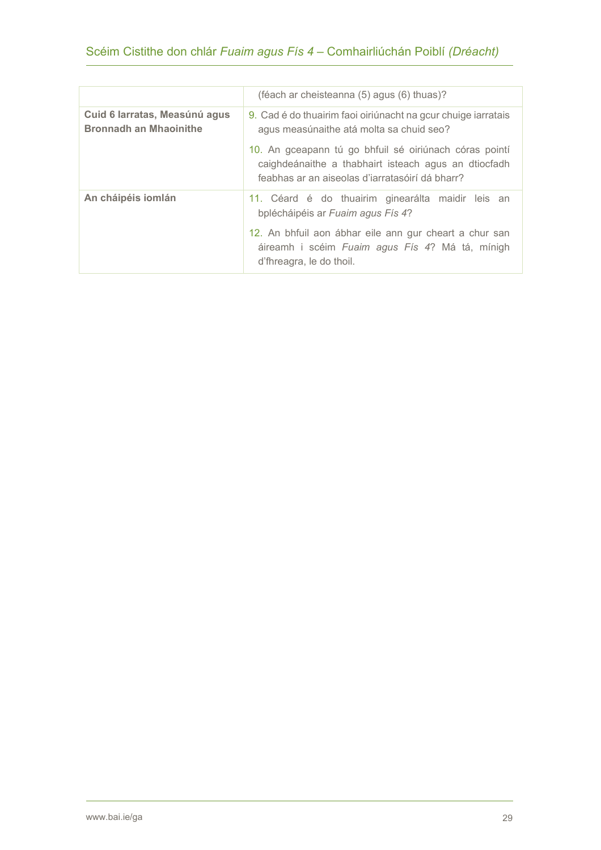|                                                                | (féach ar cheisteanna (5) agus (6) thuas)?                                                                                                                                                                                      |
|----------------------------------------------------------------|---------------------------------------------------------------------------------------------------------------------------------------------------------------------------------------------------------------------------------|
| Cuid 6 Iarratas, Measúnú agus<br><b>Bronnadh an Mhaoinithe</b> | 9. Cad é do thuairim faoi oiriúnacht na gcur chuige iarratais<br>agus measúnaithe atá molta sa chuid seo?                                                                                                                       |
|                                                                | 10. An gceapann tú go bhfuil sé oiriúnach córas pointí<br>caighdeánaithe a thabhairt isteach agus an dtiocfadh<br>feabhas ar an aiseolas d'iarratasóirí dá bharr?                                                               |
| An cháipéis iomlán                                             | 11. Céard é do thuairim ginearálta maidir leis an<br>bplécháipéis ar Fuaim agus Fís 4?<br>12. An bhfuil aon ábhar eile ann gur cheart a chur san<br>áireamh i scéim Fuaim agus Fís 4? Má tá, mínigh<br>d'fhreagra, le do thoil. |